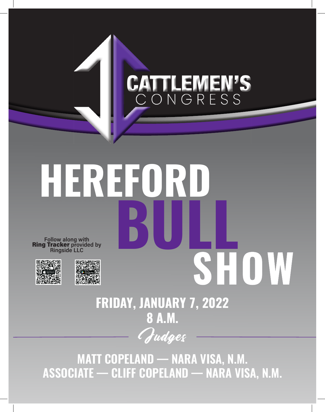## **EMEN'S** CД ONGRESS

# **HEREFORD BULL** Follow along with<br>**Ring Tracker** provided by<br>Ringside LLC **SHOW** 蔡之国

## Judges **FRIDAY, JANUARY 7, 2022 8 A.M.**

**MATT COPELAND — NARA VISA, N.M. ASSOCIATE — CLIFF COPELAND — NARA VISA, N.M.**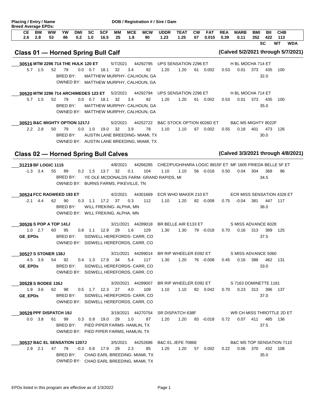| 2.6                                         | <b>BW</b><br>2.8          | <b>WW</b><br>53     | YW<br>86                                   | <b>DMI</b><br>0.2 | SC<br>1.0      | <b>SCF</b><br>16.5    | MМ<br>25                                                                 | <b>MCE</b><br>1.8 | <b>MCW</b><br>90                                                                         | <b>UDDR</b><br>1.23 | <b>TEAT</b><br>1.25                                              | <b>CW</b><br>67 | <b>FAT</b><br>0.015                 | <b>REA</b><br>0.39 | <b>MARB</b><br>0.11                   | <b>BMI</b><br>352 | BII<br>422       | <b>CHB</b><br>113 |            |
|---------------------------------------------|---------------------------|---------------------|--------------------------------------------|-------------------|----------------|-----------------------|--------------------------------------------------------------------------|-------------------|------------------------------------------------------------------------------------------|---------------------|------------------------------------------------------------------|-----------------|-------------------------------------|--------------------|---------------------------------------|-------------------|------------------|-------------------|------------|
| Class 01 - Horned Spring Bull Calf          |                           |                     |                                            |                   |                |                       |                                                                          |                   |                                                                                          |                     |                                                                  |                 |                                     |                    | (Calved 5/2/2021 through 5/7/2021)    |                   | <b>SC</b>        | <b>WT</b>         | <b>WDA</b> |
|                                             |                           |                     | 30516 MTM 2296 714 THE HULK 120 ET         |                   |                |                       | 5/7/2021                                                                 |                   | 44292795                                                                                 |                     | UPS SENSATION 2296 ET                                            |                 |                                     |                    | H BL MOCHA 714 ET                     |                   |                  |                   |            |
|                                             | $5.7$ 1.5                 | 52                  | 79<br>BRED BY:                             |                   | $0.0$ 0.7 18.1 |                       | 32                                                                       | 3.4               | 92<br>MATTHEW MURPHY- CALHOUN, GA<br>OWNED BY: MATTHEW MURPHY, CALHOUN, GA               | 1.20                | 1.20                                                             | 61              | 0.002                               | 0.53               | 0.01                                  | 373               | 435<br>32.0      | 100               |            |
|                                             |                           |                     | 30520 MTM 2296 714 ARCHIMEDES 123 ET       |                   |                |                       | 5/2/2021                                                                 |                   | 44292794                                                                                 |                     | UPS SENSATION 2296 ET                                            |                 |                                     |                    | H BL MOCHA 714 ET                     |                   |                  |                   |            |
| 5.7                                         | 1.5                       | 52                  | 79<br>BRED BY:                             |                   | $0.0$ 0.7 18.1 |                       | 32                                                                       | 3.4               | 92<br>MATTHEW MURPHY- CALHOUN, GA<br>OWNED BY: MATTHEW MURPHY, CALHOUN, GA               | 1.20                | 1.20                                                             | 61              | 0.002                               | 0.53               | 0.01                                  | 373               | 435<br>35.0      | 100               |            |
|                                             |                           |                     | 30521 B&C MIGHTY OPTION 1217J              |                   |                |                       | 5/2/2021                                                                 |                   | 44252722                                                                                 |                     | B&C STOCK OPTION 6026D ET                                        |                 |                                     |                    | B&C MS MIGHTY 8022F                   |                   |                  |                   |            |
|                                             | $2.2$ $2.8$               | 50                  | 79<br>BRED BY:                             |                   | 0.0 1.0        | 19.0                  | 32                                                                       | 3.9               | 78<br>AUSTIN LANE BREEDING- MIAMI, TX<br>OWNED BY: AUSTIN LANE BREEDING, MIAMI, TX       | 1.10                | 1.10                                                             |                 | 67 0.002                            | 0.55               | 0.18                                  | 401               | 473<br>30.0      | 126               |            |
| <b>Class 02 - Horned Spring Bull Calves</b> |                           |                     |                                            |                   |                |                       |                                                                          |                   |                                                                                          |                     |                                                                  |                 |                                     |                    | (Calved 3/3/2021 through 4/8/2021)    |                   |                  |                   |            |
| 31219 BF LOGIC 1115                         | $-1.3$ 3.4                | 55                  | 89<br>BRED BY:                             |                   | $0.2$ 1.5      | 13.7                  | 4/8/2021<br>32<br>OWNED BY: BURNS FARMS, PIKEVILLE, TN                   | 0.1               | 44266285<br>104<br>YE OLE MCDONALDS FARM- GRAND RAPIDS, MI                               | 1.10                | CHEZ/PUGH/HARA LOGIC 8815F ET MF 1605 FRIEDA BELLE 5F ET<br>1.10 |                 | 56 -0.018                           | 0.50               | 0.04                                  | 304               | 368<br>34.5      | 96                |            |
| $-2.1$                                      | 4.4                       | 62                  | 30524 FCC RAGWEED 193 ET<br>90<br>BRED BY: | 0.3               | 1.1            | 17.2 37               | 4/2/2021<br>WILL FREKING- ALPHA, MN<br>OWNED BY: WILL FREKING, ALPHA, MN | 0.3               | 44301669<br>112                                                                          | 1.10                | ECR WHO MAKER 210 ET<br>1.20                                     |                 | 82 -0.008                           | 0.75               | ECR MISS SENSATION 4328 ET<br>$-0.04$ | 381               | 447<br>36.0      | 117               |            |
| 30526 S POP A TOP 141J<br><b>GE EPDs</b>    | $1.0$ 2.7                 | 60                  | 95<br>BRED BY:                             |                   | $0.8$ 1.1      | 12.9                  | 3/21/2021<br>29                                                          | 1.6               | 44289018<br>129<br>SIDWELL HEREFORDS- CARR, CO<br>OWNED BY: SIDWELL HEREFORDS, CARR, CO. | 1.30                | BR BELLE AIR E133 ET<br>1.30                                     |                 | 79 -0.018                           | 0.70               | S MISS ADVANCE 6028<br>0.16           | 313               | 389<br>37.5      | 125               |            |
|                                             |                           | 30527 S STONER 138J |                                            |                   |                |                       |                                                                          |                   | 3/21/2021 44289014 BR RIP WHEELER E092 ET                                                |                     |                                                                  |                 |                                     |                    | S MISS ADVANCE 5060                   |                   |                  |                   |            |
|                                             | 4.5 3.9<br><b>GE EPDs</b> |                     | 54 92<br>BRED BY:                          |                   |                |                       | 0.4 1.3 17.9 34                                                          | 5.4               | 117<br>SIDWELL HEREFORDS- CARR, CO<br>OWNED BY: SIDWELL HEREFORDS, CARR, CO.             | 1.30                |                                                                  |                 | 1.20 76 0.008 0.45 0.16 388 462 131 |                    |                                       |                   | 33.0             |                   |            |
|                                             |                           |                     |                                            |                   |                |                       | 3/20/2021 44289007                                                       |                   |                                                                                          |                     |                                                                  |                 | BR RIP WHEELER E092 ET              |                    | S 7163 DOMINETTE 1181                 |                   |                  |                   |            |
| 30528 S BODEE 135J                          |                           |                     |                                            |                   |                |                       |                                                                          |                   |                                                                                          |                     |                                                                  |                 |                                     |                    |                                       |                   |                  |                   |            |
| <b>GE EPDs</b>                              | $1.9$ $3.6$               |                     | 62 98<br>BRED BY:                          |                   |                |                       | $0.5$ 1.7 12.3 27 4.0                                                    |                   | 109<br>SIDWELL HEREFORDS- CARR, CO<br>OWNED BY: SIDWELL HEREFORDS, CARR, CO.             | 1.10                |                                                                  |                 | 1.10 82 0.042                       |                    | $0.70$ $0.23$ 313                     |                   | 396 137<br>37.0  |                   |            |
|                                             |                           |                     | 30529 PPF DISPATCH 19J                     |                   |                |                       |                                                                          |                   | 3/19/2021 44270754 SR DISPATCH 638F                                                      |                     |                                                                  |                 |                                     |                    | WR CH MISS THROTTLE 2D ET             |                   |                  |                   |            |
|                                             | $0.0$ 3.8                 | 61                  | 99<br>BRED BY:                             |                   |                | $0.3$ $0.9$ $19.0$ 29 | PIED PIPER FARMS- HAMLIN, TX<br>OWNED BY: PIED PIPER FARMS, HAMLIN, TX   | 1.0               | 87                                                                                       | 1.20                | 1.20 83 -0.018  0.72  0.07  411  485  136                        |                 |                                     |                    |                                       |                   | 37.5             |                   |            |
|                                             | $2.9$ 2.1                 |                     | 30537 B&C EL SENSATION 1207J<br>47 79      |                   |                | $-0.3$ 0.8 17.9 29    | 3/5/2021                                                                 | 2.3               | 44252686<br>85                                                                           | 1.20                | B&C EL JEFE 7086E<br>1.20                                        |                 | 57  0.002                           | 0.22               | B&C MS TOP SENSATION 7110             |                   | 0.06 370 432 108 |                   |            |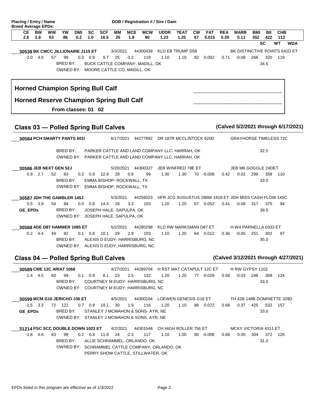| Placing / Entry / Name<br><b>Breed Average EPDs:</b> |                  |          |                    |                     |                  |                                                                          |                 |                   | DOB / Registration # / Sire / Dam                                                                                                     |                     |                            |                 |                     |                    |                                                       |            |                 |                   |            |
|------------------------------------------------------|------------------|----------|--------------------|---------------------|------------------|--------------------------------------------------------------------------|-----------------|-------------------|---------------------------------------------------------------------------------------------------------------------------------------|---------------------|----------------------------|-----------------|---------------------|--------------------|-------------------------------------------------------|------------|-----------------|-------------------|------------|
| CЕ<br>2.6                                            | <b>BW</b><br>2.8 | ww<br>53 | YW<br>86           | <b>DMI</b><br>0.2   | <b>SC</b><br>1.0 | <b>SCF</b><br>16.5                                                       | MМ<br>25        | <b>MCE</b><br>1.8 | <b>MCW</b><br>90                                                                                                                      | <b>UDDR</b><br>1.23 | <b>TEAT</b><br>1.25        | <b>CW</b><br>67 | <b>FAT</b><br>0.015 | <b>REA</b><br>0.39 | <b>MARB</b><br>0.11                                   | BMI<br>352 | BII<br>422      | <b>CHB</b><br>113 |            |
|                                                      |                  |          |                    |                     |                  |                                                                          |                 |                   |                                                                                                                                       |                     |                            |                 |                     |                    |                                                       |            | <b>SC</b>       | <b>WT</b>         | <b>WDA</b> |
| 30538 BK CMCC JILLIONAIRE J115 ET                    | $-2.0$ 4.0       | 57       | 99<br>BRED BY:     |                     | $0.3$ 0.9        | 9.7                                                                      | 3/3/2021<br>25  | $-3.2$            | 44300439<br>118<br>BUCK CATTLE COMPANY- MADILL, OK<br>OWNED BY: MOORE CATTLE CO, MADILL, OK                                           | 1.10                | KLD EB TRUMP D58<br>1.10   | 82              | 0.002               | 0.71               | BK DISTINCTIVE POINTS 641D ET<br>$-0.08$              | 266        | 320<br>34.5     | 119               |            |
| <b>Horned Champion Spring Bull Calf</b>              |                  |          |                    |                     |                  |                                                                          |                 |                   |                                                                                                                                       |                     |                            |                 |                     |                    |                                                       |            |                 |                   |            |
| <b>Horned Reserve Champion Spring Bull Calf</b>      |                  |          |                    | From classes: 01 02 |                  |                                                                          |                 |                   |                                                                                                                                       |                     |                            |                 |                     |                    |                                                       |            |                 |                   |            |
| <b>Class 03 - Polled Spring Bull Calves</b>          |                  |          |                    |                     |                  |                                                                          |                 |                   |                                                                                                                                       |                     |                            |                 |                     |                    | (Calved 5/2/2021 through 6/17/2021)                   |            |                 |                   |            |
| 30584 PCH SMARTY PANTS 6011                          |                  |          |                    |                     |                  |                                                                          | 6/17/2021       |                   | 44277892 DR 187R MCCLINTOCK 620D                                                                                                      |                     |                            |                 |                     |                    | <b>GRAYHORSE TIMELESS 72C</b>                         |            |                 |                   |            |
|                                                      |                  |          | BRED BY:           |                     |                  |                                                                          |                 |                   | PARKER CATTLE AND LAND COMPANY LLC- HARRAH, OK<br>OWNED BY: PARKER CATTLE AND LAND COMPANY LLC, HARRAH, OK                            |                     |                            |                 |                     |                    |                                                       |            | 32.5            |                   |            |
| 30586 JEB NEXT GEN 52J<br>0.9                        | 2.7              | 52       | 83<br>BRED BY:     |                     | $0.2 \quad 0.9$  | 12.8<br>EMMA BISHOP- ROCKWALL, TX<br>OWNED BY: EMMA BISHOP, ROCKWALL, TX | 5/20/2021<br>28 | 0.9               | 44300327<br>99                                                                                                                        | 1.30                | JEB WINFRED 78E ET<br>1.30 |                 | 70 -0.008           | 0.42               | JEB M6 GOGGLE 24DET<br>0.02                           | 299        | 358<br>33.0     | 110               |            |
| 30587 JDH THE GAMBLER 145J                           |                  |          |                    |                     |                  |                                                                          | 5/3/2021        |                   | 44256023                                                                                                                              |                     |                            |                 |                     |                    | HFR JCG AUGUSTUS 286W 1818 ET JDH MISS CASH FLOW 145C |            |                 |                   |            |
| GE_EPDs                                              | $0.5$ 3.9        | 54       | 84<br>BRED BY:     |                     | $0.0 \quad 0.8$  | 14.5<br>JOSEPH HALE-SAPULPA, OK<br>OWNED BY: JOSEPH HALE, SAPULPA, OK    | 28              | 3.3               | 103                                                                                                                                   | 1.20                | 1.20                       |                 | 67 0.052            | 0.41               | $-0.08$                                               | 317        | 375<br>39.5     | 94                |            |
| 30588 ADE D87 HAMMER 1085 ET                         |                  |          |                    |                     |                  |                                                                          | 5/2/2021        |                   | 44280298                                                                                                                              |                     | KLD RW MARKSMAN D87 ET     |                 |                     |                    | H W4 PARNELLA 0333 ET                                 |            |                 |                   |            |
|                                                      | $0.2$ 4.4        | 49       | 82<br>BRED BY:     |                     | $0.1 \quad 0.8$  | 10.1                                                                     | 29              | 2.9               | 103<br>ALEXIS D EUDY- HARRISBURG, NC<br>OWNED BY: ALEXIS D EUDY, HARRISBURG, NC                                                       | 1.10                | 1.20                       |                 | 64 0.012            | 0.36               | $-0.05$                                               | 251        | 302<br>35.0     | 97                |            |
| <b>Class 04 - Polled Spring Bull Calves</b>          |                  |          |                    |                     |                  |                                                                          |                 |                   |                                                                                                                                       |                     |                            |                 |                     |                    | (Calved 3/12/2021 through 4/27/2021)                  |            |                 |                   |            |
| 30589 CME 12C ARIAT 1068                             | $1.4$ 4.5        | 60       | 99<br>BRED BY:     |                     | $0.1 \quad 0.9$  |                                                                          | 8.1 23          | 2.5               | 4/27/2021  44289704  H RST MAT CATAPULT 12C ET<br>132<br>COURTNEY M EUDY- HARRISBURG, NC<br>OWNED BY: COURTNEY M EUDY, HARRISBURG, NC | 1.20                | 1.20                       |                 | 77 -0.028           | 0.58               | <b>H RW GYPSY 1102</b><br>$-0.03$                     |            | 248 308<br>33.0 | 124               |            |
| 30599 MCM G16 JERICHO J36 ET<br><b>GE EPDs</b>       | $-1.5$ 3.3       |          | 72 122<br>BRED BY: |                     | $0.7\quad 0.9$   | 19.1                                                                     | 4/5/2021<br>30  | 1.9               | 44300184 LOEWEN GENESIS G16 ET<br>116<br>STANLEY J MCMAHON & SONS-AYR, NE<br>OWNED BY: STANLEY J MCMAHON & SONS, AYR, NE              | 1.20                | 1.10                       |                 | 86 0.072            | 0.68               | TH 42B 148B DOMINETTE 329D                            | 0.37 425   | 33.0            | 532 157           |            |
| 31214 PSC SCC DOUBLE DOWN 1023 ET                    |                  |          |                    |                     |                  |                                                                          | 4/2/2021        |                   | 44301548 CH HIGH ROLLER 756 ET                                                                                                        |                     |                            |                 |                     |                    | MCKY VICTORIA 4311 ET                                 |            |                 |                   |            |
|                                                      | $-1.8$ 4.6       | 63       | 99<br>BRED BY:     |                     |                  | $0.2$ $0.3$ $11.8$ $24$ $-2.3$                                           |                 |                   | 117<br>ALLIE SCHRAMMEL- ORLANDO, OK<br>OWNED BY: SCHRAMMEL CATTLE COMPANY, ORLANDO, OK<br>PERRY SHOW CATTLE, STILLWATER, OK           | 1.10                | 1.00                       |                 | 80 -0.008           | 0.68               | 0.00                                                  | 304        | 31.0            | 372 126           |            |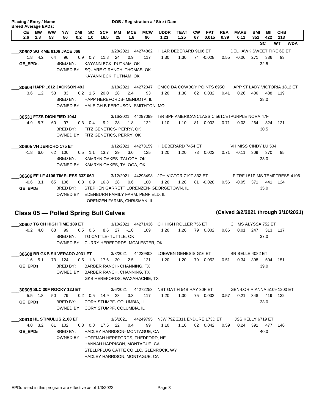| Placing / Entry / Name<br><b>Breed Average EPDs:</b> |           |    |          |            |                 |            |               |                                      |                                              | DOB / Registration # / Sire / Dam        |                        |           |            |            |                                                          |     |                  |                  |            |
|------------------------------------------------------|-----------|----|----------|------------|-----------------|------------|---------------|--------------------------------------|----------------------------------------------|------------------------------------------|------------------------|-----------|------------|------------|----------------------------------------------------------|-----|------------------|------------------|------------|
| <b>CE</b>                                            | <b>BW</b> | ww | YW       | <b>DMI</b> | <b>SC</b>       | <b>SCF</b> | MМ            | <b>MCE</b>                           | <b>MCW</b>                                   | <b>UDDR</b>                              | <b>TEAT</b>            | <b>CW</b> | <b>FAT</b> | <b>REA</b> | <b>MARB</b>                                              | BMI | BII              | <b>CHB</b>       |            |
| 2.6                                                  | 2.8       | 53 | 86       | 0.2        | 1.0             | 16.5       | 25            | 1.8                                  | 90                                           | 1.23                                     | 1.25                   | 67        | 0.015      | 0.39       | 0.11                                                     | 352 | 422<br><b>SC</b> | 113<br><b>WT</b> | <b>WDA</b> |
|                                                      |           |    |          |            |                 |            |               |                                      |                                              |                                          |                        |           |            |            |                                                          |     |                  |                  |            |
| 30602 SG KME 9106 JACE J68                           |           |    |          |            |                 |            | 3/28/2021     |                                      | 44274862                                     |                                          | H LAR DEBERARD 9106 ET |           |            |            | DELHAWK SWEET FIRE 6E ET                                 |     |                  |                  |            |
| 1.8                                                  | 4.2       | 64 | 96       | 0.9        | 0.7             | 11.8       | 24            | 0.9                                  | 117                                          | 1.30                                     | 1.30                   |           | 74 -0.028  | 0.55       | $-0.06$                                                  | 271 | 336              | 93               |            |
| <b>GE EPDs</b>                                       |           |    | BRED BY: |            |                 |            |               | KAYANN ECK- PUTNAM, OK               |                                              |                                          |                        |           |            |            |                                                          |     | 32.5             |                  |            |
|                                                      |           |    |          |            |                 |            |               | OWNED BY: SQUARE G RANCH, THOMAS, OK |                                              |                                          |                        |           |            |            |                                                          |     |                  |                  |            |
|                                                      |           |    |          |            |                 |            |               | KAYANN ECK, PUTNAM, OK               |                                              |                                          |                        |           |            |            |                                                          |     |                  |                  |            |
| 30604 HAPP 1812 JACKSON 49J                          |           |    |          |            |                 |            |               |                                      | 3/18/2021 44272047                           |                                          |                        |           |            |            | CMCC DA COWBOY POINTS 695C HAPP 9T LADY VICTORIA 1812 ET |     |                  |                  |            |
| 3.6                                                  | 1.2       | 53 | 83       |            | $0.2 \quad 1.5$ | 20.0       | 28            | 2.4                                  | 93                                           | 1.20                                     | 1.30                   |           | 62 0.032   | 0.41       | 0.26                                                     | 406 | 488              | 119              |            |
|                                                      |           |    | BRED BY: |            |                 |            |               |                                      | HAPP HEREFORDS- MENDOTA, IL                  |                                          |                        |           |            |            |                                                          |     | 38.0             |                  |            |
|                                                      |           |    |          |            |                 |            |               |                                      | OWNED BY: HALEIGH B FERGUSON, SMITHTON, MO   |                                          |                        |           |            |            |                                                          |     |                  |                  |            |
| 30531 FTZS DIGNIFIED 104J                            |           |    |          |            |                 |            | 3/16/2021     |                                      | 44297099                                     |                                          |                        |           |            |            | T/R BPF AMERICANCLASSIC 561CETPURPLE NORA 47F            |     |                  |                  |            |
| $-4.9$                                               | 5.7       | 60 | 97       | 0.3        | 0.4             |            | $9.2$ 28 -1.8 |                                      | 122                                          | 1.10                                     | 1.10                   | 81        | 0.002      | 0.71       | $-0.03$                                                  | 264 | 324              | 121              |            |
|                                                      |           |    | BRED BY: |            |                 |            |               | FITZ GENETICS- PERRY, OK             |                                              |                                          |                        |           |            |            |                                                          |     | 30.5             |                  |            |
|                                                      |           |    |          |            |                 |            |               | OWNED BY: FITZ GENETICS, PERRY, OK   |                                              |                                          |                        |           |            |            |                                                          |     |                  |                  |            |
|                                                      |           |    |          |            |                 |            |               |                                      |                                              |                                          |                        |           |            |            |                                                          |     |                  |                  |            |
| 30605 VH JERICHO 175 ET                              |           |    |          |            |                 |            |               |                                      | 3/12/2021 44273159                           |                                          | H DEBERARD 7454 ET     |           |            |            | VH MISS CINDY LU 504                                     |     |                  |                  |            |
| $-1.8$                                               | 6.0       | 62 | 100      | 0.5        | 1.1             | 13.7       | 29            | 3.0                                  | 125                                          | 1.20                                     | 1.20                   | 73        | 0.022      | 0.71       | $-0.11$                                                  | 309 | 370              | 95               |            |
|                                                      |           |    | BRED BY: |            |                 |            |               | KAMRYN OAKES-TALOGA, OK              |                                              |                                          |                        |           |            |            |                                                          |     | 33.0             |                  |            |
|                                                      |           |    |          |            |                 |            |               | OWNED BY: KAMRYN OAKES, TALOGA, OK   |                                              |                                          |                        |           |            |            |                                                          |     |                  |                  |            |
| 30606 EF LF 4106 TIMELESS 33Z 06J                    |           |    |          |            |                 |            | 3/12/2021     |                                      | 44293498                                     |                                          | JDH VICTOR 719T 33Z ET |           |            |            | LF TRF L51P MS TEMPTRESS 4106                            |     |                  |                  |            |
| $-0.6$                                               | 3.1       | 65 | 106      |            | $0.3 \quad 0.9$ | 16.8       | 28            | 0.6                                  | 100                                          | 1.20                                     | 1.20                   |           | 81 -0.028  | 0.56       | $-0.05$                                                  | 371 | 441              | 124              |            |
| <b>GE EPDs</b>                                       |           |    | BRED BY: |            |                 |            |               |                                      |                                              | STEPHEN GARRETT LORENZEN- GEORGETOWN, IL |                        |           |            |            |                                                          |     | 35.0             |                  |            |
|                                                      |           |    |          |            |                 |            |               |                                      | OWNED BY: EDENBURN FAMILY FARM, PENFIELD, IL |                                          |                        |           |            |            |                                                          |     |                  |                  |            |

LORENZEN FARMS, CHRISMAN, IL

### **Class 05 — Polled Spring Bull Calves (Calved 3/2/2021 through 3/10/2021)**

-0.2 4.0 63 99 0.5 0.6 8.6 27 -1.0 109 1.20 1.20 79 0.002 **30607 TG CH HIGH TIME 189 ET** 3/10/2021 44271436 CH HIGH ROLLER 756 ET  $-0.2$  4.0 63 99 0.5 0.6 8.6 27  $-1.0$ 30607 TG CH HIGH TIME 189 ET BRED BY: TG CATTLE- TUTTLE, OK 247 0.66 0.01 313 117 37.0 CH MS ALYSSA 752 ET OWNED BY: CURRY HEREFORDS, MCALESTER, OK

1.20 79 0.052 **30608 BR GKB SILVERADO J031 ET** 3/8/2021 44239808 LOEWEN GENESIS G16 ET 5.1 73 124 30 -1.6 0.5 1.8 17.6 2.5 121 1.20 1.20 79  $\overline{\phantom{a}}$ **GE\_EPDs** BRED BY: BARBER RANCH- CHANNING, TX 398 0.51 0.34 504 151 39.0 BR BELLE 4082 ET OWNED BY: BARBER RANCH, CHANNING, TX GKB HEREFORDS, WAXAHACHIE, TX

1.30 75 0.032 **30609 SLC 30F ROCKY 12J ET** 3/6/2021 44272253 NST GAT H 54B RAY 30F ET 1.8 50 79 28 5.5 0.2 0.5 14.9 3.3 117 1.20 1.30 75 30609 SLC 30F ROCKY 12J ET **GE\_EPDs** BRED BY: CORY STUMPF- COLUMBIA, IL 0.57 0.21 348 419 132 33.0 GEN-LOR RIANNA 5109 1200 ET OWNED BY: CORY STUMPF, COLUMBIA, IL

1.10 82 0.042 **30610 HL STIMULUS 2108 ET** 3/5/2021 44249795 NJW 79Z Z311 ENDURE 173D ET 3.2 61 102 22 4.0 0.3 0.8 17.5 0.4 99 1.10 1.10 82 30610 HL STIMULUS 2108 ET **GE\_EPDs** BRED BY: HADLEY HARRISON- MONTAGUE, CA 0.59 0.24 391 477 146 40.0 H JSS KELLY 6719 ET OWNED BY: HOFFMAN HEREFORDS, THEDFORD, NE HANNAH HARRISON, MONTAGUE, CA STELLPFLUG CATTE CO LLC, GLENROCK, WY HADLEY HARRISON, MONTAGUE, CA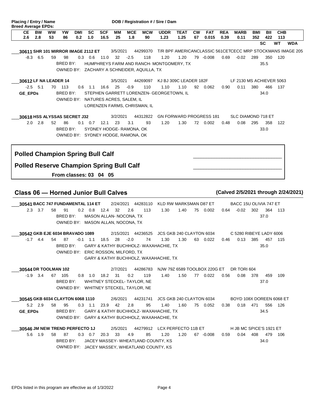| <b>CE</b><br><b>BW</b><br>2.6      |     |          |                 |                   |                  |                    |          |                                    |                                            | DOB / Registration # / Sire / Dam        |                     |                 |                     |                    |                                                            |                   |            |                   |            |
|------------------------------------|-----|----------|-----------------|-------------------|------------------|--------------------|----------|------------------------------------|--------------------------------------------|------------------------------------------|---------------------|-----------------|---------------------|--------------------|------------------------------------------------------------|-------------------|------------|-------------------|------------|
|                                    | 2.8 | ww<br>53 | <b>YW</b><br>86 | <b>DMI</b><br>0.2 | <b>SC</b><br>1.0 | <b>SCF</b><br>16.5 | ΜМ<br>25 | <b>MCE</b><br>1.8                  | <b>MCW</b><br>90                           | <b>UDDR</b><br>1.23                      | <b>TEAT</b><br>1.25 | <b>CW</b><br>67 | <b>FAT</b><br>0.015 | <b>REA</b><br>0.39 | <b>MARB</b><br>0.11                                        | <b>BMI</b><br>352 | BII<br>422 | <b>CHB</b><br>113 |            |
|                                    |     |          |                 |                   |                  |                    |          |                                    |                                            |                                          |                     |                 |                     |                    |                                                            |                   | <b>SC</b>  | <b>WT</b>         | <b>WDA</b> |
| 30611 SHR 101 MIRROR IMAGE 2112 ET |     |          |                 |                   |                  |                    | 3/5/2021 |                                    | 44299370                                   |                                          |                     |                 |                     |                    | T/R BPF AMERICANCLASSIC 561CETCECC MRP STOCKMANS IMAGE 205 |                   |            |                   |            |
| -8.3                               | 6.5 | 59       | 98              |                   | $0.3 \quad 0.6$  | 11.0               | 32       | $-2.5$                             | 118                                        | 1.20                                     | 1.20                | 79              | $-0.008$            | 0.69               | $-0.02$                                                    | 289               | 350        | 120               |            |
|                                    |     |          | BRED BY:        |                   |                  |                    |          |                                    |                                            | HUMPHREYS FARM AND RANCH-MONTGOMERY, TX  |                     |                 |                     |                    |                                                            |                   | 35.5       |                   |            |
|                                    |     |          |                 |                   |                  |                    |          |                                    | OWNED BY: ZACHARY A SCHNEIDER, AQUILLA, TX |                                          |                     |                 |                     |                    |                                                            |                   |            |                   |            |
| 30612 LF NA LEADER 14              |     |          |                 |                   |                  |                    | 3/5/2021 |                                    | 44269097                                   | KJ BJ 309C LEADER 182F                   |                     |                 |                     |                    | LF 2130 MS ACHIEVER 5063                                   |                   |            |                   |            |
| $-2.5$                             | 5.1 | 70       | 113             | 0.6               | 1.1              | 16.6               | 25       | $-0.9$                             | 110                                        | 1.10                                     | 1.10                | 92              | 0.062               | 0.90               | 0.11                                                       | 380               | 466        | 137               |            |
| <b>GE EPDs</b>                     |     |          | BRED BY:        |                   |                  |                    |          |                                    |                                            | STEPHEN GARRETT LORENZEN- GEORGETOWN. IL |                     |                 |                     |                    |                                                            |                   | 34.0       |                   |            |
|                                    |     |          |                 |                   |                  |                    |          | OWNED BY: NATURES ACRES, SALEM, IL |                                            |                                          |                     |                 |                     |                    |                                                            |                   |            |                   |            |
|                                    |     |          |                 |                   |                  |                    |          | LORENZEN FARMS, CHRISMAN, IL       |                                            |                                          |                     |                 |                     |                    |                                                            |                   |            |                   |            |
| 30618 HSS ALYSSAS SECRET J32       |     |          |                 |                   |                  |                    | 3/2/2021 |                                    | 44312822                                   | <b>GN FORWARD PROGRESS 181</b>           |                     |                 |                     |                    | <b>SLC DIAMOND 718 ET</b>                                  |                   |            |                   |            |
| 2.0                                | 2.8 | 52       | 86              |                   | $0.1 \quad 0.7$  | 12.1               | 23       | 3.1                                | 93                                         | 1.20                                     | 1.30                | 72              | 0.002               | 0.48               | 0.08                                                       | 295               | 358        | 122               |            |
|                                    |     |          | BRED BY:        |                   |                  |                    |          | SYDNEY HODGE- RAMONA, OK           |                                            |                                          |                     |                 |                     |                    |                                                            |                   | 33.0       |                   |            |
|                                    |     |          |                 |                   |                  |                    |          | OWNED BY: SYDNEY HODGE, RAMONA, OK |                                            |                                          |                     |                 |                     |                    |                                                            |                   |            |                   |            |

#### **From classes: 03 04 05**

#### **Class 06 — Horned Junior Bull Calves (Calved 2/5/2021 through 2/24/2021)**

#### 0.002 **30541 BACC 747 FUNDAMENTAL 114 ET** 2/24/2021 44283110 KLD RW MARKSMAN D87 ET 3.7 58 91 32 2.3 0.2 0.8 12.4 2.6 113 1.30 1.40 75 \_\_\_ BRED BY: MASON ALLAN- NOCONA, TX 302 0.64 -0.02 364 113 37.0 BACC 15U OLIVIA 747 ET OWNED BY: MASON ALLAN, NOCONA, TX

63 0.022 **30542 GKB EJE 6034 BRAVADO 1089** 2/15/2021 44236525 JCS GKB 240 CLAYTON 6034 4.4 54 87 28 -1.7 -0.1 1.1 18.5 -2.0 74 1.30 1.30 63  $\overline{\phantom{a}}$ BRED BY: GARY & KATHY BUCHHOLZ- WAXAHACHIE, TX 0.46 0.13 385 457 115 35.0 C 5280 RIBEYE LADY 6006 OWNED BY: ERIC ROSSON, MILFORD, TX GARY & KATHY BUCHHOLZ, WAXAHACHIE, TX

0.022 **30544 DR TOOLMAN 102** 2/7/2021 44286783 NJW 79Z 6589 TOOLBOX 220G ET DR TORI 604 3.4 67 105 31 -1.9 0.8 1.0 18.2 0.2 119 1.40 1.50 77 30544 DR TOOLMAN 102 BRED BY: WHITNEY STECKEL-TAYLOR, NE 0.56 0.08 378 459 109 37.0 OWNED BY: WHITNEY STECKEL, TAYLOR, NE

1.60 75 0.052 **30545 GKB 6034 CLAYTON 6068 1110** 2/6/2021 44231741 JCS GKB 240 CLAYTON 6034 \_\_\_ 2.9 58 95 42 5.2 0.3 1.1 23.9 2.8 95 1.40 1.60 75 **GE\_EPDs** BRED BY: GARY & KATHY BUCHHOLZ- WAXAHACHIE, TX 471 0.38 0.18 556 126 34.5 BOYD 108X DOREEN 6068 ET OWNED BY: GARY & KATHY BUCHHOLZ, WAXAHACHIE, TX

1.20 67 -0.008 **30546 JM NEW TREND PERFECTO 1J** 2/5/2021 44279912 LCX PERFECTO 11B ET \_\_\_ 1.9 58 87 33 5.6 0.3 0.7 20.3 4.9 85 1.20 1.20 67 BRED BY: JACEY MASSEY- WHEATLAND COUNTY, KS 408 0.59 0.04 479 106 34.0 H JB MC SPICE'S 1921 ET OWNED BY: JACEY MASSEY, WHEATLAND COUNTY, KS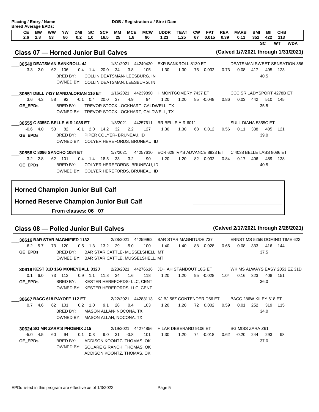| Placing / Entry / Name<br><b>Breed Average EPDs:</b> |           |                     |            |                 |            |          |                           |                                         | DOB / Registration # / Sire / Dam             |                              |           |            |            |                                     |            |                  |                  |            |
|------------------------------------------------------|-----------|---------------------|------------|-----------------|------------|----------|---------------------------|-----------------------------------------|-----------------------------------------------|------------------------------|-----------|------------|------------|-------------------------------------|------------|------------------|------------------|------------|
| <b>BW</b><br><b>CE</b>                               | <b>WW</b> | YW                  | <b>DMI</b> | <b>SC</b>       | <b>SCF</b> | MМ       | <b>MCE</b>                | <b>MCW</b>                              | <b>UDDR</b>                                   | <b>TEAT</b>                  | <b>CW</b> | <b>FAT</b> | <b>REA</b> | <b>MARB</b>                         | <b>BMI</b> | BII              | <b>CHB</b>       |            |
| 2.6<br>2.8                                           | 53        | 86                  | 0.2        | 1.0             | 16.5       | 25       | 1.8                       | 90                                      | 1.23                                          | 1.25                         | 67        | 0.015      | 0.39       | 0.11                                | 352        | 422<br><b>SC</b> | 113<br><b>WT</b> | <b>WDA</b> |
|                                                      |           |                     |            |                 |            |          |                           |                                         |                                               |                              |           |            |            |                                     |            |                  |                  |            |
| <b>Class 07 - Horned Junior Bull Calves</b>          |           |                     |            |                 |            |          |                           |                                         |                                               |                              |           |            |            | (Calved 1/7/2021 through 1/31/2021) |            |                  |                  |            |
| 30549 DEATSMAN BANKROLL 4J                           |           |                     |            |                 |            |          |                           | 1/31/2021 44249420                      | EXR BANKROLL 8130 ET                          |                              |           |            |            | <b>DEATSMAN SWEET SENSATION 356</b> |            |                  |                  |            |
| $3.3$ $2.0$                                          |           | 62 106              |            | $0.4$ 1.4       | 20.0       | 34       | 3.8                       | 105                                     | 1.30                                          | 1.30                         |           | 75 0.032   | 0.73       | 0.08                                | 417        | 495              | 123              |            |
|                                                      |           | BRED BY:            |            |                 |            |          |                           | COLLIN DEATSMAN- LEESBURG, IN           |                                               |                              |           |            |            |                                     |            | 40.5             |                  |            |
|                                                      |           |                     |            |                 |            |          |                           | OWNED BY: COLLIN DEATSMAN, LEESBURG, IN |                                               |                              |           |            |            |                                     |            |                  |                  |            |
| 30551 DBLL 7437 MANDALORIAN 116 ET                   |           |                     |            |                 |            |          |                           | 1/16/2021 44239890                      | H MONTGOMERY 7437 ET                          |                              |           |            |            | CCC SR LADYSPORT 4278B ET           |            |                  |                  |            |
| $3.6$ 4.3                                            | 58        | 92                  |            | $-0.1$ 0.4 20.0 |            | 37       | 4.9                       | 94                                      | 1.20                                          | 1.20                         |           | 85 -0.048  | 0.86       | 0.03                                | 442        | 510              | 145              |            |
| <b>GE EPDs</b>                                       |           | BRED BY:            |            |                 |            |          |                           |                                         | TREVOR STOCK LOCKHART- CALDWELL, TX           |                              |           |            |            |                                     |            | 35.5             |                  |            |
|                                                      |           |                     |            |                 |            |          |                           |                                         | OWNED BY: TREVOR STOCK LOCKHART, CALDWELL, TX |                              |           |            |            |                                     |            |                  |                  |            |
| 30555 C 5355C BELLE AIR 1085 ET                      |           |                     |            |                 |            | 1/8/2021 |                           | 44257611                                |                                               | BR BELLE AIR 6011            |           |            |            | SULL DIANA 5355C ET                 |            |                  |                  |            |
| $-0.6$<br>4.0                                        | 53        | 82                  |            | $-0.1$ 2.0      | 14.2       | 32       | 2.2                       | 127                                     | 1.30                                          | 1.30                         | 68        | 0.012      | 0.56       | 0.11                                | 338        | 405              | 121              |            |
| <b>GE EPDs</b>                                       |           | BRED BY:            |            |                 |            |          | PIPER COLYER- BRUNEAU, ID |                                         |                                               |                              |           |            |            |                                     |            | 39.0             |                  |            |
|                                                      |           |                     |            |                 |            |          |                           | OWNED BY: COLYER HEREFORDS, BRUNEAU, ID |                                               |                              |           |            |            |                                     |            |                  |                  |            |
| 30556 C 8086 SANCHO 1084 ET                          |           |                     |            |                 |            | 1/7/2021 |                           | 44257610                                |                                               | ECR 628 IVYS ADVANCE 8923 ET |           |            |            | C 4038 BELLE LASS 8086 ET           |            |                  |                  |            |
| $3.2$ $2.8$                                          |           | 62 101              |            | $0.4$ 1.4       | 18.5       | 33       | 3.2                       | 90                                      | 1.20                                          | 1.20                         |           | 82 0.032   | 0.84       | 0.17                                | 406        | 489              | 138              |            |
| <b>GE EPDs</b>                                       |           | BRED BY:            |            |                 |            |          |                           | COLYER HEREFORDS- BRUNEAU, ID           |                                               |                              |           |            |            |                                     |            | 40.5             |                  |            |
|                                                      |           | OWNED BY:           |            |                 |            |          |                           | COLYER HEREFORDS, BRUNEAU, ID           |                                               |                              |           |            |            |                                     |            |                  |                  |            |
|                                                      |           |                     |            |                 |            |          |                           |                                         |                                               |                              |           |            |            |                                     |            |                  |                  |            |
| <b>Horned Champion Junior Bull Calf</b>              |           |                     |            |                 |            |          |                           |                                         |                                               |                              |           |            |            |                                     |            |                  |                  |            |
| <b>Horned Reserve Champion Junior Bull Calf</b>      |           |                     |            |                 |            |          |                           |                                         |                                               |                              |           |            |            |                                     |            |                  |                  |            |
|                                                      |           |                     |            |                 |            |          |                           |                                         |                                               |                              |           |            |            |                                     |            |                  |                  |            |
|                                                      |           | From classes: 06 07 |            |                 |            |          |                           |                                         |                                               |                              |           |            |            |                                     |            |                  |                  |            |

#### **Class 08 — Polled Junior Bull Calves (Calved 2/17/2021 through 2/28/2021)**

1.40 1.40 88 -0.028 **30616 BAR STAR MAGNIFIED 1132** 2/28/2021 44259962 BAR STAR MAGNITUDE 737 -6.2 5.7 73 120 0.5 1.3 13.2 29 -5.0 100 1.40 1.40 88  $\overline{\phantom{a}}$ **GE\_EPDs** BRED BY: BAR STAR CATTLE- MUSSELSHELL, MT 0.66 0.08 333 416 144 37.5 ERNST MS 525B DOMINO TIME 622 OWNED BY: BAR STAR CATTLE, MUSSELSHELL, MT

|                | 30619 KEST 31D 16G MONEYBALL 332J     |     | 2/23/2021 44276616 JDH AH STANDOUT 16G ET | WK MS ALWAYS EASY 2053 EZ 31D |
|----------------|---------------------------------------|-----|-------------------------------------------|-------------------------------|
|                | 0.1 6.0 73 113<br>0.9 1.1 11.8 34 1.6 | 118 | 1.20<br>1.20<br>95 -0.028                 | 1.04  0.16  323<br>408 151    |
| <b>GE EPDs</b> | BRED BY: KESTER HEREFORDS-LLC. CENT   |     |                                           | 36.0                          |
|                | OWNED BY: KESTER HEREFORDS, LLC, CENT |     |                                           |                               |

0.7 4.6 62 101 0.2 1.0 9.1 28 0.4 103 1.20 1.20 72 0.002 0.59 0.01 252 319 115 **30667 BACC 618 PAYOFF 112 ET** 2/22/2021 44283113 KJ BJ 58Z CONTENDER D56 ET 0.7 4.6 62 101 0.2 1.0 9.1 28 30667 BACC 618 PAYOFF 112 ET BRED BY: MASON ALLAN- NOCONA, TX 34.0 BACC 286W KILEY 618 ET OWNED BY: MASON ALLAN, NOCONA, TX

1.20 74 -0.018 **30624 SG MR ZARA'S PHOENIX J15** 2/19/2021 44274856 H LAR DEBERARD 9106 ET -5.0 4.5 60 94 0.1 0.3 9.0 31 -3.8 101 1.30 1.20 74 30624 SG MR ZARA'S PHOENIX J15 **GE\_EPDs** BRED BY: ADDISON KOONTZ- THOMAS, OK 244 0.62 -0.20 293 98 37.0 SG MISS ZARA Z61 OWNED BY: SQUARE G RANCH, THOMAS, OK ADDISON KOONTZ, THOMAS, OK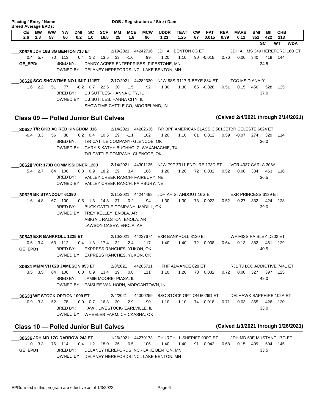| CЕ                                                                     | <b>Breed Average EPDs:</b><br><b>BW</b> | <b>WW</b> | <b>YW</b>                            | <b>DMI</b> | <b>SC</b>       | <b>SCF</b>        | MМ                     | <b>MCE</b>                                            | <b>MCW</b>                                                             | <b>UDDR</b>                                       | <b>TEAT</b>            | <b>CW</b> | <b>FAT</b>                                       | <b>REA</b> | <b>MARB</b>                         | BMI | BII       | <b>CHB</b>       |            |
|------------------------------------------------------------------------|-----------------------------------------|-----------|--------------------------------------|------------|-----------------|-------------------|------------------------|-------------------------------------------------------|------------------------------------------------------------------------|---------------------------------------------------|------------------------|-----------|--------------------------------------------------|------------|-------------------------------------|-----|-----------|------------------|------------|
| 2.6                                                                    | 2.8                                     | 53        | 86                                   | 0.2        | 1.0             | 16.5              | 25                     | 1.8                                                   | 90                                                                     | 1.23                                              | 1.25                   | 67        | 0.015                                            | 0.39       | 0.11                                | 352 | 422<br>SC | 113<br><b>WT</b> | <b>WDA</b> |
| 30625 JDH 16B 8G BENTON 71J ET                                         |                                         |           |                                      |            |                 |                   |                        |                                                       | 2/19/2021 44242716                                                     |                                                   | JDH AH BENTON 8G ET    |           |                                                  |            | JDH AH MS 349 HEREFORD 16B ET       |     |           |                  |            |
|                                                                        | $0.4$ 5.7                               |           | 70 113                               |            | $0.4$ 1.2       | 13.5 33           |                        | $-1.6$                                                | 99                                                                     | 1.20                                              | 1.10                   |           | $90 - 0.018$                                     | 0.76       | 0.06                                | 340 | 419       | 144              |            |
| <b>GE EPDs</b>                                                         |                                         |           | BRED BY:                             |            |                 |                   |                        |                                                       |                                                                        | DANDY ACRES ENTERPRISES- PIPESTONE, MN            |                        |           |                                                  |            |                                     |     | 34.5      |                  |            |
|                                                                        |                                         |           |                                      |            |                 |                   |                        |                                                       |                                                                        | OWNED BY: DELANEY HEREFORDS INC., LAKE BENTON, MN |                        |           |                                                  |            |                                     |     |           |                  |            |
| 30626 SCG SHOWTIME NO LIMIT 111ET                                      |                                         |           |                                      |            |                 |                   |                        |                                                       | 2/17/2021 44282330                                                     |                                                   |                        |           | NJW 98S R117 RIBEYE 88X ET                       |            | TCC MS DIANA 01                     |     |           |                  |            |
|                                                                        | $1.6$ 2.2                               | 51        | 77                                   |            | $-0.2$ 0.7 22.5 |                   | 30                     | 1.5                                                   | 92                                                                     | 1.30                                              | 1.30                   |           | 65 -0.028                                        | 0.51       | 0.15                                | 456 | 528       | 125              |            |
|                                                                        |                                         |           | BRED BY:                             |            |                 |                   |                        | L J SUTTLES- HANNA CITY, IL                           |                                                                        |                                                   |                        |           |                                                  |            |                                     |     | 37.0      |                  |            |
|                                                                        |                                         |           | OWNED BY: LJ SUTTLES, HANNA CITY, IL |            |                 |                   |                        |                                                       |                                                                        |                                                   |                        |           |                                                  |            |                                     |     |           |                  |            |
|                                                                        |                                         |           |                                      |            |                 |                   |                        |                                                       | SHOWTIME CATTLE CO, MOORELAND, IN                                      |                                                   |                        |           |                                                  |            |                                     |     |           |                  |            |
| Class 09 - Polled Junior Bull Calves                                   |                                         |           |                                      |            |                 |                   |                        |                                                       |                                                                        |                                                   |                        |           |                                                  |            | (Calved 2/4/2021 through 2/14/2021) |     |           |                  |            |
| 30627 T/R GKB AC RED KINGDOM J16                                       |                                         |           |                                      |            |                 |                   |                        |                                                       | 2/14/2021 44282636                                                     |                                                   |                        |           | T/R BPF AMERICANCLASSIC 561CETBR CELESTE 6624 ET |            |                                     |     |           |                  |            |
| $-0.4$                                                                 | 3.3                                     | 56        | 88                                   |            | $0.2 \quad 0.4$ | 10.5              | 29                     | $-1.1$                                                | 102                                                                    | 1.20                                              | 1.10                   | 81        | 0.012                                            | 0.59       | -0.07                               | 274 | 329       | 114              |            |
|                                                                        |                                         |           | BRED BY:                             |            |                 |                   |                        |                                                       | T/R CATTLE COMPANY- GLENCOE, OK                                        |                                                   |                        |           |                                                  |            |                                     |     | 36.0      |                  |            |
|                                                                        |                                         |           |                                      |            |                 |                   |                        |                                                       |                                                                        | OWNED BY: GARY & KATHY BUCHHOLZ, WAXAHACHIE, TX   |                        |           |                                                  |            |                                     |     |           |                  |            |
|                                                                        |                                         |           |                                      |            |                 |                   |                        |                                                       | T/R CATTLE COMPANY, GLENCOE, OK                                        |                                                   |                        |           |                                                  |            |                                     |     |           |                  |            |
| 30628 VCR 173D COMMISSIONER 120J                                       |                                         |           |                                      |            |                 |                   |                        |                                                       | 2/14/2021 44301135                                                     |                                                   |                        |           | NJW 79Z Z311 ENDURE 173D ET                      |            | <b>VCR 4037 CARLA 306A</b>          |     |           |                  |            |
|                                                                        | 5.4 2.7                                 |           | 64 100                               |            |                 | $0.3$ 0.9 18.2    | 29                     | 3.4                                                   | 106                                                                    | 1.20                                              | 1.20                   |           | 72 0.032                                         | 0.52       | 0.08                                | 384 | 463       | 116              |            |
|                                                                        |                                         |           | BRED BY:                             |            |                 |                   |                        |                                                       | VALLEY CREEK RANCH- FAIRBURY, NE                                       |                                                   |                        |           |                                                  |            |                                     |     | 36.5      |                  |            |
|                                                                        |                                         |           |                                      |            |                 |                   |                        |                                                       | OWNED BY: VALLEY CREEK RANCH, FAIRBURY, NE                             |                                                   |                        |           |                                                  |            |                                     |     |           |                  |            |
| 30629 BK STANDOUT 6139J                                                |                                         |           |                                      |            |                 |                   |                        |                                                       | 2/11/2021 44244498                                                     |                                                   | JDH AH STANDOUT 16G ET |           |                                                  |            | <b>EXR PRINCESS 6139 ET</b>         |     |           |                  |            |
| $-1.6$                                                                 | - 4.8                                   |           | 67 100                               |            |                 | 0.5 1.3 14.3 27   |                        | 0.2                                                   | 94                                                                     | 1.30                                              | 1.30                   |           | 73 0.022                                         | 0.52       | 0.27                                | 332 | 424       | 128              |            |
|                                                                        |                                         |           | BRED BY:                             |            |                 |                   |                        |                                                       | BUCK CATTLE COMPANY-MADILL, OK                                         |                                                   |                        |           |                                                  |            |                                     |     | 39.0      |                  |            |
|                                                                        |                                         |           | OWNED BY: TREY KELLEY, ENOLA, AR     |            |                 |                   |                        |                                                       |                                                                        |                                                   |                        |           |                                                  |            |                                     |     |           |                  |            |
|                                                                        |                                         |           |                                      |            |                 |                   |                        | ABIGAIL RALSTON, ENOLA, AR<br>LAWSON CASEY, ENOLA, AR |                                                                        |                                                   |                        |           |                                                  |            |                                     |     |           |                  |            |
|                                                                        |                                         |           |                                      |            |                 |                   |                        |                                                       |                                                                        |                                                   |                        |           |                                                  |            |                                     |     |           |                  |            |
| 30543 EXR BANKROLL 1225 ET                                             |                                         |           |                                      |            |                 |                   |                        |                                                       | 2/10/2021 44227674                                                     |                                                   | EXR BANKROLL 8130 ET   |           |                                                  |            | WF MISS PAISLEY D202 ET             |     |           |                  |            |
|                                                                        | $0.6$ 3.4                               |           | 63 112                               |            |                 | 0.4 1.3 17.4      | 32                     | 2.4                                                   | 117                                                                    | 1.40                                              | 1.40                   |           | 72 -0.008                                        | 0.64       | 0.13                                | 382 | 461       | - 129            |            |
| $GE\_EPDs$                                                             |                                         |           | BRED BY:                             |            |                 |                   |                        |                                                       | EXPRESS RANCHES-YUKON, OK<br>OWNED BY: EXPRESS RANCHES, YUKON, OK      |                                                   |                        |           |                                                  |            |                                     |     | 40.5      |                  |            |
|                                                                        |                                         |           |                                      |            |                 |                   |                        |                                                       |                                                                        |                                                   |                        |           |                                                  |            |                                     |     |           |                  |            |
| 30631 MMM VH 628 JAMESON 05J ET                                        |                                         |           |                                      |            |                 |                   | 2/8/2021               |                                                       |                                                                        | 44285711 H FHF ADVANCE 628 ET                     |                        |           |                                                  |            | RJL TJ LCC ADDICTIVE 7441 ET        |     |           |                  |            |
|                                                                        | $3.5\quad 3.5$                          |           | 64 100                               |            |                 | 0.0 0.9 13.4 19   |                        | 0.8                                                   | 111                                                                    | 1.10                                              | 1.20                   |           | 78  0.032                                        | 0.72       | 0.00 327                            |     |           | 397 125          |            |
|                                                                        |                                         |           | BRED BY:                             |            |                 |                   | JAMIE MOORE- PIASA, IL |                                                       | OWNED BY: PAISLEE VAN HORN, MORGANTOWN, IN                             |                                                   |                        |           |                                                  |            |                                     |     | 42.0      |                  |            |
|                                                                        |                                         |           |                                      |            |                 |                   |                        |                                                       |                                                                        |                                                   |                        |           |                                                  |            |                                     |     |           |                  |            |
| 30633 WF STOCK OPTION 1009 ET                                          |                                         |           |                                      |            |                 |                   | 2/4/2021               |                                                       | 44300259                                                               |                                                   |                        |           | B&C STOCK OPTION 6026D ET                        |            | DELHAWK SAPPHIRE 102A ET            |     |           |                  |            |
|                                                                        | $-0.9$ 3.3                              | 52        | 78                                   |            |                 | $0.0$ 0.7 16.3 30 |                        | 2.9                                                   | 90                                                                     | 1.10                                              | 1.10                   |           | 74 -0.018                                        | 0.71       | 0.03                                | 365 | 426       | 120              |            |
|                                                                        |                                         |           | BRED BY:                             |            |                 |                   |                        |                                                       | HAWK LIVESTOCK- EARLVILLE, IL<br>OWNED BY: WHEELER FARM, CHICKASHA, OK |                                                   |                        |           |                                                  |            |                                     |     | 33.0      |                  |            |
|                                                                        |                                         |           |                                      |            |                 |                   |                        |                                                       |                                                                        |                                                   |                        |           |                                                  |            |                                     |     |           |                  |            |
|                                                                        |                                         |           |                                      |            |                 |                   |                        |                                                       |                                                                        |                                                   |                        |           |                                                  |            | (Calved 1/3/2021 through 1/26/2021) |     |           |                  |            |
|                                                                        |                                         |           |                                      |            |                 |                   |                        |                                                       |                                                                        |                                                   |                        |           |                                                  |            |                                     |     |           |                  |            |
| Class 10 - Polled Junior Bull Calves<br>30636 JDH MD 17G DARROW 24J ET |                                         |           |                                      |            |                 |                   |                        |                                                       |                                                                        | 1/26/2021  44279173  CHURCHILL SHERIFF 900G ET    |                        |           |                                                  |            | JDH MD 63E MUSTANG 17G ET           |     |           |                  |            |
|                                                                        | $-1.0$ 3.3                              |           | 76 114                               |            |                 | 0.4 1.2 18.0 36   |                        | 0.5                                                   | 106                                                                    | 1.40                                              | 1.40                   |           | 91  0.042                                        | 0.68       | 0.15 409                            |     |           | 504 145          |            |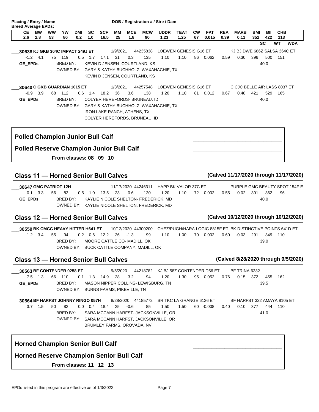| 30640 C GKB GUARDIAN 1015 ET<br><b>LOEWEN GENESIS G16 ET</b><br>44257548<br>1/3/2021                                                                                                                                                                                         | C CJC BELLE AIR LASS 8037 ET                                                            |
|------------------------------------------------------------------------------------------------------------------------------------------------------------------------------------------------------------------------------------------------------------------------------|-----------------------------------------------------------------------------------------|
| $-0.9$ 3.9<br>3.6<br>68 112<br>0.6 1.4 18.2 36<br>138<br>1.20<br>1.10<br><b>GE EPDs</b><br>BRED BY:<br>COLYER HEREFORDS- BRUNEAU, ID<br>OWNED BY: GARY & KATHY BUCHHOLZ, WAXAHACHIE, TX<br><b>IRON LAKE RANCH, ATHENS, TX</b><br>COLYER HEREFORDS, BRUNEAU, ID               | 0.48<br>81 0.012<br>421<br>529<br>165<br>0.67<br>40.0                                   |
| <b>Polled Champion Junior Bull Calf</b>                                                                                                                                                                                                                                      |                                                                                         |
| <b>Polled Reserve Champion Junior Bull Calf</b>                                                                                                                                                                                                                              |                                                                                         |
| From classes: 08 09 10                                                                                                                                                                                                                                                       |                                                                                         |
| <b>Class 11 - Horned Senior Bull Calves</b>                                                                                                                                                                                                                                  | (Calved 11/17/2020 through 11/17/2020)                                                  |
| 11/17/2020 44246311 HAPP BK VALOR 37C ET<br>30647 GMC PATRIOT 12H<br>$0.1 \quad 3.3$<br>$0.5$ 1.0<br>13.5 23 -0.6<br>1.20<br>1.10<br>56<br>83<br>120<br>KAYLIE NICOLE SHELTON- FREDERICK, MD<br><b>GE EPDS</b><br>BRED BY:<br>OWNED BY: KAYLIE NICOLE SHELTON, FREDERICK, MD | PURPLE GMC BEAUTY SPOT 154F E<br>301<br>362<br>72  0.002<br>$0.55 - 0.02$<br>96<br>40.0 |
| <b>Class 12 - Horned Senior Bull Calves</b>                                                                                                                                                                                                                                  | (Calved 10/12/2020 through 10/12/2020)                                                  |
| 30559 BK CMCC HEAVY HITTER H641 ET 10/12/2020 44300200 CHEZ/PUGH/HARA LOGIC 8815F ET BK DISTINCTIVE POINTS 641D ET                                                                                                                                                           |                                                                                         |
| $1.2 \quad 3.4$<br>$0.2$ $0.6$ $12.2$ $26$ $-1.3$<br>55<br>94<br>99<br>1.10<br>1.00<br>BRED BY:<br>MOORE CATTLE CO- MADILL, OK<br>OWNED BY: BUCK CATTLE COMPANY, MADILL, OK                                                                                                  | 70 0.002<br>$0.60 -0.03$ 291<br>349<br>110<br>39.0                                      |
| <b>Class 13 - Horned Senior Bull Calves</b>                                                                                                                                                                                                                                  | (Calved 8/28/2020 through 9/5/2020)                                                     |
| 9/5/2020<br>44218782 KJ BJ 58Z CONTENDER D56 ET<br>30563 BF CONTENDER 0258 ET<br>$7.5$ 1.3<br>28<br>3.2<br>1.20<br>1.30<br>66 110<br>$0.1$ 1.3 14.9<br>94<br>MASON NIPPER COLLINS-LEWISBURG, TN<br><b>GE EPDs</b><br>BRED BY:<br>OWNED BY: BURNS FARMS, PIKEVILLE, TN        | BF TRINA 6232<br>95 0.052<br>0.15<br>372<br>455<br>0.76<br>162<br>39.5                  |

 **CE BW WW YW DMI SC SCF MM MCE MCW UDDR TEAT CW FAT REA MARB BMI BII CHB 2.6 2.8 53 86 0.2 1.0 16.5 25 1.8 90 1.23 1.25 67 0.015 0.39 0.11 352 422 113**

86 0.062

**SC WT WDA**

0.30 396

0.59 0.30 500 151

40.0

KJ BJ DWE 686Z SALSA 364C ET

Placing / Entry / Name DOB / Registration # / Sire / Dam

**GE\_EPDs** BRED BY: KEVIN D JENSEN- COURTLAND, KS

**30638 KJ GKB 364C IMPACT 249J ET** 1/9/2021 44235838 LOEWEN GENESIS G16 ET \_\_\_ 4.1 75 119 31 -1.2 0.5 1.7 17.1 0.3 135 1.10 1.10 86

> OWNED BY: GARY & KATHY BUCHHOLZ, WAXAHACHIE, TX KEVIN D JENSEN, COURTLAND, KS

**Breed Average EPDs:**

-0.008 **30564 BF HARFST JOHNNY RINGO 057H** 8/28/2020 44185772 SR TKC LA GRANGE 6126 ET 1.5 50 82 25 3.7 0.0 0.4 18.4 -0.6 85 1.50 1.50 60 30564 BF HARFST JOHNNY RINGO 057H BRED BY: SARA MCCANN HARFST- JACKSONVILLE, OR 0.40 0.10 377 444 110 41.0 BF HARFST 322 AMAYA 8105 ET OWNED BY: SARA MCCANN HARFST, JACKSONVILLE, OR BRUMLEY FARMS, OROVADA, NV

| <b>Horned Champion Senior Bull Calf</b>         |  |
|-------------------------------------------------|--|
| <b>Horned Reserve Champion Senior Bull Calf</b> |  |
| <b>From classes: 11 12 13</b>                   |  |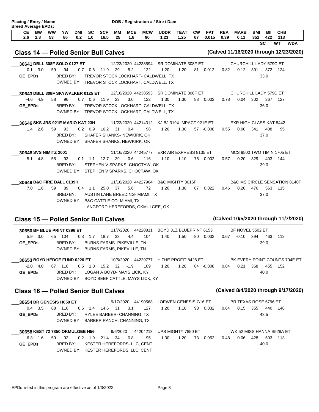| Placing / Entry / Name<br><b>Breed Average EPDs:</b> |                  |                                   |                 |                   |                  |                        |          |                                                                           |                                                                          | DOB / Registration # / Sire / Dam                                                    |                     |                 |                     |                    |                                   |                   |            |                                          |
|------------------------------------------------------|------------------|-----------------------------------|-----------------|-------------------|------------------|------------------------|----------|---------------------------------------------------------------------------|--------------------------------------------------------------------------|--------------------------------------------------------------------------------------|---------------------|-----------------|---------------------|--------------------|-----------------------------------|-------------------|------------|------------------------------------------|
| CE.<br>2.6                                           | <b>BW</b><br>2.8 | ww<br>53                          | <b>YW</b><br>86 | <b>DMI</b><br>0.2 | <b>SC</b><br>1.0 | <b>SCF</b><br>16.5     | MМ<br>25 | <b>MCE</b><br>1.8                                                         | <b>MCW</b><br>90                                                         | <b>UDDR</b><br>1.23                                                                  | <b>TEAT</b><br>1.25 | <b>CW</b><br>67 | <b>FAT</b><br>0.015 | <b>REA</b><br>0.39 | <b>MARB</b><br>0.11               | <b>BMI</b><br>352 | BII<br>422 | <b>CHB</b><br>113                        |
|                                                      |                  |                                   |                 |                   |                  |                        |          |                                                                           |                                                                          |                                                                                      |                     |                 |                     |                    |                                   |                   | SC         | <b>WT</b><br><b>WDA</b>                  |
| <b>Class 14 - Polled Senior Bull Calves</b>          |                  |                                   |                 |                   |                  |                        |          |                                                                           |                                                                          |                                                                                      |                     |                 |                     |                    |                                   |                   |            | (Calved 11/16/2020 through 12/23/2020)   |
|                                                      |                  | 30641 DBLL 308F SOLO 0127 ET      |                 |                   |                  |                        |          |                                                                           | 12/23/2020 44238594                                                      | SR DOMINATE 308F ET                                                                  |                     |                 |                     |                    | CHURCHILL LADY 579C ET            |                   |            |                                          |
|                                                      | $-0.1$ 3.0       | 59                                | 94              |                   | $0.7\quad 0.6$   | 11.9                   | 29       | 5.2                                                                       | 122                                                                      | 1.20                                                                                 | 1.20                |                 | 81 0.012            | 0.82               | $0.12$ 301                        |                   |            | 372 124                                  |
| <b>GE EPDs</b>                                       |                  |                                   | <b>BRED BY:</b> |                   |                  |                        |          |                                                                           |                                                                          | TREVOR STOCK LOCKHART- CALDWELL, TX<br>OWNED BY: TREVOR STOCK LOCKHART, CALDWELL, TX |                     |                 |                     |                    |                                   |                   | 33.0       |                                          |
|                                                      |                  | 30643 DBLL 308F SKYWALKER 0125 ET |                 |                   |                  |                        |          |                                                                           |                                                                          | 12/16/2020 44238593 SR DOMINATE 308F ET                                              |                     |                 |                     |                    | CHURCHILL LADY 579C ET            |                   |            |                                          |
|                                                      | $-4.6$ 4.9       | 58                                | 96              |                   | $0.7$ 0.6 11.9   |                        | 23       | 3.0                                                                       | 122                                                                      | 1.30                                                                                 | 1.30                | 88              | 0.002               | 0.78               | 0.04                              | 302               | 367        | 127                                      |
| <b>GE EPDs</b>                                       |                  |                                   | BRED BY:        |                   |                  |                        |          |                                                                           |                                                                          | TREVOR STOCK LOCKHART- CALDWELL, TX<br>OWNED BY: TREVOR STOCK LOCKHART, CALDWELL, TX |                     |                 |                     |                    |                                   |                   | 36.0       |                                          |
|                                                      |                  | 30646 SKS JRS 921E MARIO KAT 23H  |                 |                   |                  |                        |          |                                                                           |                                                                          | 11/23/2020 44214312 KJ BJ 319X IMPACT 921E ET                                        |                     |                 |                     |                    | EXR HIGH CLASS KAT 8442           |                   |            |                                          |
|                                                      | $1.4$ 2.6        | 59                                | 93              |                   | $0.2 \quad 0.9$  | 16.2                   | - 31     | 0.4                                                                       | 98                                                                       | 1.20                                                                                 | 1.30                |                 | 57 -0.008           | 0.55               | 0.00                              | 341               | 408        | 95                                       |
|                                                      |                  |                                   | BRED BY:        |                   |                  |                        |          | SHAFER SHANKS-NEWKIRK, OK<br>OWNED BY: SHAFER SHANKS, NEWKIRK, OK         |                                                                          |                                                                                      |                     |                 |                     |                    |                                   |                   | 37.0       |                                          |
|                                                      |                  | 30648 SVS NIMITZ 2001             |                 |                   |                  |                        |          |                                                                           | 11/16/2020 44245777                                                      | EXR AIR EXPRESS 8135 ET                                                              |                     |                 |                     |                    | <b>MCS 9500 TWO TIMIN 1705 ET</b> |                   |            |                                          |
|                                                      | $-5.1$ 4.8       | 55                                | 93              |                   |                  | $-0.1$ 1.1 12.7        | 29       | $-0.6$                                                                    | 116                                                                      | 1.10                                                                                 | 1.10                |                 | 75 0.002            | 0.57               | 0.20                              | 329               | 403        | 144                                      |
|                                                      |                  |                                   | BRED BY:        |                   |                  |                        |          |                                                                           | STEPHEN V SPARKS- CHOCTAW, OK<br>OWNED BY: STEPHEN V SPARKS, CHOCTAW, OK |                                                                                      |                     |                 |                     |                    |                                   |                   | 39.0       |                                          |
|                                                      |                  | 30649 B&C FIRE BALL 0139H         |                 |                   |                  |                        |          |                                                                           | 11/16/2020 44227904                                                      | B&C MIGHTY 8016F                                                                     |                     |                 |                     |                    |                                   |                   |            | <b>B&amp;C MS CIRCLE SENSATION 8140F</b> |
|                                                      | $7.0$ 1.6        | 59                                | 89              |                   | $0.4$ 1.1        | 25.0                   | - 37     | 5.6                                                                       | 72                                                                       | 1.20                                                                                 | 1.30                | 67              | 0.022               | 0.46               | 0.20                              | 476               | 563        | 115                                      |
|                                                      |                  |                                   | BRED BY:        |                   |                  |                        |          |                                                                           | AUSTIN LANE BREEDING- MIAMI, TX                                          |                                                                                      |                     |                 |                     |                    |                                   |                   | 37.0       |                                          |
|                                                      |                  |                                   |                 |                   |                  |                        |          | OWNED BY: B&C CATTLE CO, MIAMI, TX                                        | LANGFORD HEREFORDS, OKMULGEE, OK                                         |                                                                                      |                     |                 |                     |                    |                                   |                   |            |                                          |
| <b>Class 15 - Polled Senior Bull Calves</b>          |                  |                                   |                 |                   |                  |                        |          |                                                                           |                                                                          |                                                                                      |                     |                 |                     |                    |                                   |                   |            | (Calved 10/5/2020 through 11/7/2020)     |
|                                                      |                  | 30650 BF BLUE PRINT 0396 ET       |                 |                   |                  |                        |          |                                                                           | 11/7/2020 44220811                                                       | BOYD 31Z BLUEPRINT 6153                                                              |                     |                 |                     |                    | BF NOVEL 5502 ET                  |                   |            |                                          |
|                                                      | 5.9 3.0          |                                   | 65 104          |                   |                  | $0.3$ 1.7 18.7         | 33       | 4.4                                                                       | 104                                                                      | 1.40                                                                                 | 1.50                |                 | 80 0.032            | 0.67               | $-0.10$                           | 394               | 463        | 112                                      |
| <b>GE EPDs</b>                                       |                  |                                   | BRED BY:        |                   |                  |                        |          | <b>BURNS FARMS- PIKEVILLE, TN</b><br>OWNED BY: BURNS FARMS, PIKEVILLE, TN |                                                                          |                                                                                      |                     |                 |                     |                    |                                   |                   | 39.0       |                                          |
|                                                      |                  | 30653 BOYD HEDGE FUND 0220 ET     |                 |                   |                  |                        |          |                                                                           |                                                                          | 10/5/2020  44229777  H THE PROFIT 8426  ET                                           |                     |                 |                     |                    |                                   |                   |            | BK EVERY POINT COUNTS 704E ET            |
|                                                      | $-2.0$ 4.0       |                                   | 67 116          |                   |                  | $0.5$ 1.0 15.2 32 -1.9 |          |                                                                           | 109                                                                      | 1.20                                                                                 | 1.20                |                 | 84 -0.008           | 0.84               | 0.21                              |                   | 368 455    | - 152                                    |
| <b>GE EPDs</b>                                       |                  |                                   | BRED BY:        |                   |                  |                        |          | LOGAN A BOYD- MAYS LICK, KY                                               | OWNED BY: BOYD BEEF CATTLE, MAYS LICK, KY                                |                                                                                      |                     |                 |                     |                    |                                   |                   | 40.0       |                                          |
| <b>Class 16 - Polled Senior Bull Calves</b>          |                  |                                   |                 |                   |                  |                        |          |                                                                           |                                                                          |                                                                                      |                     |                 |                     |                    |                                   |                   |            | (Calved 8/4/2020 through 9/17/2020)      |
|                                                      |                  | 30654 BR GENESIS H059 ET          |                 |                   |                  |                        |          |                                                                           | 9/17/2020 44190568                                                       | LOEWEN GENESIS G16 ET                                                                |                     |                 |                     |                    | BR TEXAS ROSE 6796 ET             |                   |            |                                          |
|                                                      | $0.4$ 3.5        |                                   | 68 116          |                   |                  | 0.6 1.4 14.6 31        |          | 3.1                                                                       | 127                                                                      | 1.20                                                                                 | 1.10                |                 | 93 0.032            | 0.64               |                                   | $0.15$ 355        | 440        | 148                                      |
| <b>GE EPDs</b>                                       |                  |                                   | BRED BY:        |                   |                  |                        |          | RYLEE BARBER- CHANNING, TX<br>OWNED BY: BARBER RANCH, CHANNING, TX        |                                                                          |                                                                                      |                     |                 |                     |                    |                                   |                   | 43.5       |                                          |
|                                                      |                  | 30658 KEST 72 7850 OKMULGEE H56   |                 |                   |                  |                        |          |                                                                           | 9/6/2020 44204213                                                        | UPS MIGHTY 7850 ET                                                                   |                     |                 |                     |                    | WK 52 MISS HANNA S528A ET         |                   |            |                                          |
|                                                      | 6.3 1.6          | 59                                | 92              |                   |                  | $0.2$ 1.9 21.4 34      |          | 0.8                                                                       | 95                                                                       | 1.30                                                                                 | 1.20                |                 | 73   0.052          | 0.48               |                                   | 0.06 428 503 113  |            |                                          |
| GE_EPDs                                              |                  |                                   | BRED BY:        |                   |                  |                        |          |                                                                           | KESTER HEREFORDS- LLC, CENT                                              |                                                                                      |                     |                 |                     |                    |                                   |                   | 40.0       |                                          |

OWNED BY: KESTER HEREFORDS, LLC, CENT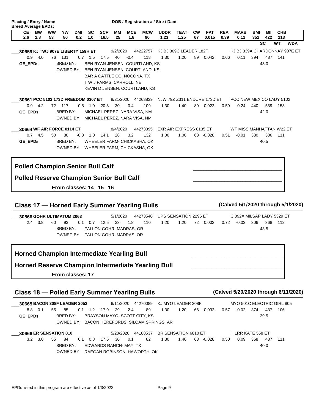| CЕ<br>ВW<br>2.6<br>2.8                                                                     | ww<br>YW<br>53<br>86                   | DMI<br>0.2 | sc<br>1.0       | <b>SCF</b><br>16.5 | MМ<br>25       | <b>MCE</b><br>1.8            | <b>MCW</b><br>90                         | UDDR<br>1.23 | TEAT<br>1.25                    | СW<br>67 | <b>FAT</b><br>0.015 | <b>REA</b><br>0.39 | MARB<br>0.11                        | BMI<br>352 | BII<br>422 | <b>CHB</b><br>113 |                                    |
|--------------------------------------------------------------------------------------------|----------------------------------------|------------|-----------------|--------------------|----------------|------------------------------|------------------------------------------|--------------|---------------------------------|----------|---------------------|--------------------|-------------------------------------|------------|------------|-------------------|------------------------------------|
|                                                                                            |                                        |            |                 |                    |                |                              |                                          |              |                                 |          |                     |                    |                                     |            | SC         | WT                | <b>WDA</b>                         |
| 30659 KJ TWJ 907E LIBERTY 159H ET                                                          |                                        |            |                 |                    | 9/2/2020       |                              | 44222757                                 |              | KJ BJ 309C LEADER 182F          |          |                     |                    |                                     |            |            |                   | KJ BJ 339A CHARDONNAY 907E ET      |
| 0.9<br>4.0                                                                                 | 76 131                                 |            | $0.7$ 1.5       | 17.5               | 40             | $-0.4$                       | 118                                      | 1.30         | 1.20                            | 89       | 0.042               | 0.66               | 0.11                                | 394        | 487        | 141               |                                    |
| GE_EPDs                                                                                    | BRED BY:                               |            |                 |                    |                |                              | BEN RYAN JENSEN- COURTLAND, KS           |              |                                 |          |                     |                    |                                     |            | 43.0       |                   |                                    |
|                                                                                            |                                        |            |                 |                    |                |                              | OWNED BY: BEN RYAN JENSEN, COURTLAND, KS |              |                                 |          |                     |                    |                                     |            |            |                   |                                    |
|                                                                                            |                                        |            |                 |                    |                | BAR A CATTLE CO, NOCONA, TX  |                                          |              |                                 |          |                     |                    |                                     |            |            |                   |                                    |
|                                                                                            |                                        |            |                 |                    |                | T W J FARMS, CARROLL, NE     |                                          |              |                                 |          |                     |                    |                                     |            |            |                   |                                    |
|                                                                                            |                                        |            |                 |                    |                |                              | KEVIN D JENSEN, COURTLAND, KS            |              |                                 |          |                     |                    |                                     |            |            |                   |                                    |
| 30661 PCC 5102 173D FREEDOM 0307 ET                                                        |                                        |            |                 |                    |                |                              | 8/21/2020 44268839                       |              | NJW 79Z Z311 ENDURE 173D ET     |          |                     |                    | PCC NEW MEXICO LADY 5102            |            |            |                   |                                    |
| $0.9$ 4.2                                                                                  | 72 117                                 |            | $0.5 \quad 1.0$ | 20.3               | 30             | 0.4                          | 109                                      | 1.30         | 1.40                            |          | 89 0.022            | 0.59               | 0.24                                | 440        | 539        | 153               |                                    |
| GE_EPDs                                                                                    | BRED BY:                               |            |                 |                    |                | MICHAEL PEREZ- NARA VISA, NM |                                          |              |                                 |          |                     |                    |                                     |            | 42.0       |                   |                                    |
|                                                                                            | OWNED BY: MICHAEL PEREZ, NARA VISA, NM |            |                 |                    |                |                              |                                          |              |                                 |          |                     |                    |                                     |            |            |                   |                                    |
|                                                                                            |                                        |            |                 |                    |                |                              |                                          |              |                                 |          |                     |                    |                                     |            |            |                   |                                    |
| 30664 WF AIR FORCE 0114 ET<br>$0.7$ 4.5                                                    | 50<br>80                               |            | $-0.3$ 1.0      | 14.1               | 8/4/2020<br>28 | 3.2                          | 44273395<br>132                          | 1.00         | EXR AIR EXPRESS 8135 ET<br>1.00 |          | 63 -0.028           | 0.51               | WF MISS MANHATTAN W22 ET<br>$-0.01$ | 330        | 386        | 111               |                                    |
|                                                                                            | BRED BY:                               |            |                 |                    |                |                              | WHEELER FARM- CHICKASHA, OK              |              |                                 |          |                     |                    |                                     |            | 40.5       |                   |                                    |
| <b>GE EPDs</b>                                                                             | OWNED BY: WHEELER FARM, CHICKASHA, OK  |            |                 |                    |                |                              |                                          |              |                                 |          |                     |                    |                                     |            |            |                   |                                    |
|                                                                                            |                                        |            |                 |                    |                |                              |                                          |              |                                 |          |                     |                    |                                     |            |            |                   |                                    |
| <b>Polled Champion Senior Bull Calf</b><br><b>Polled Reserve Champion Senior Bull Calf</b> |                                        |            |                 |                    |                |                              |                                          |              |                                 |          |                     |                    |                                     |            |            |                   |                                    |
|                                                                                            | From classes: 14 15 16                 |            |                 |                    |                |                              |                                          |              |                                 |          |                     |                    |                                     |            |            |                   |                                    |
|                                                                                            |                                        |            |                 |                    |                |                              |                                          |              |                                 |          |                     |                    |                                     |            |            |                   |                                    |
|                                                                                            |                                        |            |                 |                    |                |                              |                                          |              |                                 |          |                     |                    |                                     |            |            |                   |                                    |
| <b>Class 17 - Horned Early Summer Yearling Bulls</b>                                       |                                        |            |                 |                    |                |                              |                                          |              |                                 |          |                     |                    |                                     |            |            |                   | (Calved 5/1/2020 through 5/1/2020) |
| 30566 GOHR ULTIMATUM 2063                                                                  |                                        |            |                 |                    | 5/1/2020       |                              | 44273540                                 |              | UPS SENSATION 2296 ET           |          |                     |                    | C 092X MILSAP LADY 5329 ET          |            |            |                   |                                    |
| $2.4$ 3.8                                                                                  | 93<br>60                               | 0.1        | 0.7             | 12.5               | 33             | 1.8                          | 110                                      | 1.20         | 1.20                            |          | 72 0.002            | 0.72               | $-0.03$                             | 306        | 368        | 112               |                                    |
|                                                                                            | BRED BY:                               |            |                 |                    |                | FALLON GOHR-MADRAS, OR       |                                          |              |                                 |          |                     |                    |                                     |            | 43.5       |                   |                                    |
|                                                                                            | OWNED BY: FALLON GOHR, MADRAS, OR      |            |                 |                    |                |                              |                                          |              |                                 |          |                     |                    |                                     |            |            |                   |                                    |
|                                                                                            |                                        |            |                 |                    |                |                              |                                          |              |                                 |          |                     |                    |                                     |            |            |                   |                                    |
| <b>Horned Champion Intermediate Yearling Bull</b>                                          |                                        |            |                 |                    |                |                              |                                          |              |                                 |          |                     |                    |                                     |            |            |                   |                                    |
| <b>Horned Reserve Champion Intermediate Yearling Bull</b>                                  |                                        |            |                 |                    |                |                              |                                          |              |                                 |          |                     |                    |                                     |            |            |                   |                                    |
|                                                                                            | From classes: 17                       |            |                 |                    |                |                              |                                          |              |                                 |          |                     |                    |                                     |            |            |                   |                                    |

## **Class 18 — Polled Early Summer Yearling Bulls (Calved 5/20/2020 through 6/11/2020)**

Placing / Entry / Name DOB / Registration # / Sire / Dam

**Breed Average EPDs:**

66 0.032 **30665 BACON 308F LEADER 2052** 6/11/2020 44270089 KJ MYO LEADER 308F -0.1 55 85 29 8.8 -0.1 1.2 17.9 2.4 89 1.30 1.20 66 30665 BACON 308F LEADER 2052 **GE\_EPDs** BRED BY: BRAYSON MAYO- SCOTT CITY, KS 0.57 -0.02 374 437 106 39.5 MYO 501C ELECTRIC GIRL 805 OWNED BY: BACON HEREFORDS, SILOAM SPRINGS, AR

-0.028 368 0.50 0.09 437 111 **30666 ER SENSATION 010** 5/20/2020 44188537 BR SENSATION 6810 ET 3.0 55 84 30 3.2 0.1 0.8 17.5 0.1 82 1.30 1.40 63 30666 ER SENSATION 010 BRED BY: EDWARDS RANCH- MAY, TX 40.0 H LRR KATE 558 ET OWNED BY: RAEGAN ROBINSON, HAWORTH, OK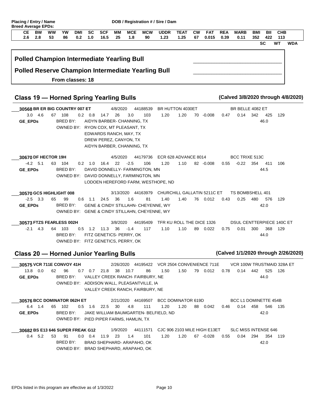| <b>Flating / Entry / Name</b><br><b>Breed Average EPDs:</b> |           |           |    |     |     |        |    |            |            | <b>DOD</b> / Registration # / Sire / Dani |             |    |            |            |             |     |     |            |  |
|-------------------------------------------------------------|-----------|-----------|----|-----|-----|--------|----|------------|------------|-------------------------------------------|-------------|----|------------|------------|-------------|-----|-----|------------|--|
| CЕ                                                          | <b>BW</b> | <b>WW</b> | YW | DMI |     | SC SCF | MМ | <b>MCE</b> | <b>MCW</b> | <b>UDDR</b>                               | <b>TEAT</b> | CW | <b>FAT</b> | <b>REA</b> | <b>MARB</b> | BMI | BII | <b>CHB</b> |  |
|                                                             |           | -53       | 86 | 0.2 | 1.0 | 16.5   | 25 | 1.8        | 90         | 1.23                                      | 1.25        | 67 | 0.015      | 0.39       | 0.11        | 352 | 422 | 113        |  |

**SC WT WDA**

| <b>Polled Champion Intermediate Yearling Bull</b>         |  |
|-----------------------------------------------------------|--|
| <b>Polled Reserve Champion Intermediate Yearling Bull</b> |  |
| From classes: 18                                          |  |

## **Class 19 — Horned Spring Yearling Bulls (Calved 3/8/2020 through 4/8/2020)**

-0.008 **30568 BR ER BIG COUNTRY 007 ET** 4/8/2020 44188539 BR HUTTON 4030ET \_\_\_ 3.0 4.6 67 108 0.2 0.8 14.7 26 3.0 103 1.20 1.20 70 **GE\_EPDs** BRED BY: AIDYN BARBER- CHANNING, TX 342 0.47 0.14 425 129 46.0 BR BELLE 4082 ET OWNED BY: RYON COX, MT PLEASANT, TX EDWARDS RANCH, MAY, TX DREW PEREZ, CANYON, TX AIDYN BARBER, CHANNING, TX

1.20 1.10 82 -0.008 **30670 DF HECTOR 19H** 4/5/2020 44179736 ECR 628 ADVANCE 8014 5.1 63 104 22 -4.2 0.2 1.0 16.4 -2.5 106 1.20 1.10 82  $\overline{\phantom{a}}$ **GE\_EPDs** BRED BY: DAVID DONNELLY- FARMINGTON, MN 354 0.55 -0.22 411 106 44.5 BCC TRIXE 513C OWNED BY: DAVID DONNELLY, FARMINGTON, MN LODOEN HEREFORD FARM, WESTHOPE, ND

1.40 76 0.012 0.43 **30570 GCS HIGHLIGHT 008** 3/13/2020 44163979 CHURCHILL GALLATIN 5211C ET 3.3 65 99 36 -2.5 0.6 1.1 24.5 1.6 81 1.40 1.40 76 \_\_\_ **GE\_EPDs** BRED BY: GENE & CINDY STILLAHN- CHEYENNE, WY 480 0.43 0.25 576 129 42.0 TS BOMBSHELL 401 OWNED BY: GENE & CINDY STILLAHN, CHEYENNE, WY

0.022 300 0.75 0.01 368 129 **30573 FTZS FEARLESS 002H** 3/8/2020 44195409 TFR KU ROLL THE DICE 1326 4.3 64 103 36 -2.1 0.5 1.2 11.3 -1.4 117 1.10 1.10 89  $\overline{\phantom{a}}$ BRED BY: FITZ GENETICS- PERRY, OK 44.0 DSUL CENTTERPIECE 140C ET OWNED BY: FITZ GENETICS, PERRY, OK

#### **Class 20 — Horned Junior Yearling Bulls (Calved 1/1/2020 through 2/26/2020)**

0.012 442 0.78 0.14 525 126 **30575 VCR 711E CONVOY 41H** 2/26/2020 44195422 VCR 2504 CONVENIENCE 711E 0.0 62 96 38 13.8 0.7 0.7 21.8 10.7 86 1.50 1.50 79  $\overline{\phantom{a}}$ **GE\_EPDs** BRED BY: VALLEY CREEK RANCH- FAIRBURY, NE 44.0 VCR 100W TRUSTMAID 328A ET OWNED BY: ADDISON WALL, PLEASANTVILLE, IA VALLEY CREEK RANCH, FAIRBURY, NE

0.042 0.46 0.14 458 546 135 **30576 BCC DOMINATOR 062H ET** 2/21/2020 44169507 BCC DOMINATOR 619D 1.4 65 102 30 6.4 0.5 1.6 22.5 4.8 111 1.20 1.20 88 \_\_\_ **GE\_EPDs** BRED BY: JAKE WILLIAM BAUMGARTEN- BELFIELD, ND 42.0 BCC L1 DOMINETTE 454B OWNED BY: PIED PIPER FARMS, HAMLIN, TX

1.20 1.20 67 -0.028 0.55 **30682 BS E13 646 SUPER FREAK G12** 1/9/2020 44111571 CJC 906 2103 MILE HIGH E13ET 0.4 5.2 53 91 0.0 0.4 11.9 23 1.4 101 1.20 1.20 67  $\overline{\phantom{a}}$ BRED BY: BRAD SHEPHARD- ARAPAHO, OK 294 0.55 0.04 354 119 42.0 SLC MISS INTENSE 646 OWNED BY: BRAD SHEPHARD, ARAPAHO, OK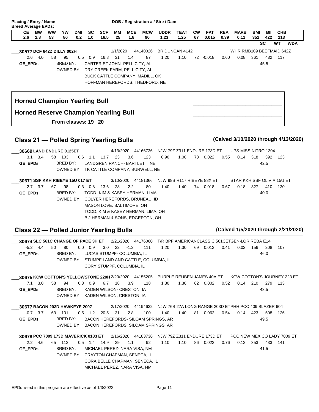| <b>Breed Average EPDs:</b>                      |                 | Placing / Entry / Name |                     |                   |                  |                    |                 |                                                                                 |                                                                                                                                                          | DOB / Registration # / Sire / Dam |                             |                 |                     |                    |                                                        |            |                     |                   |            |
|-------------------------------------------------|-----------------|------------------------|---------------------|-------------------|------------------|--------------------|-----------------|---------------------------------------------------------------------------------|----------------------------------------------------------------------------------------------------------------------------------------------------------|-----------------------------------|-----------------------------|-----------------|---------------------|--------------------|--------------------------------------------------------|------------|---------------------|-------------------|------------|
| CЕ<br>2.6                                       | BW<br>2.8       | ww<br>53               | YW<br>86            | <b>DMI</b><br>0.2 | <b>SC</b><br>1.0 | <b>SCF</b><br>16.5 | MМ<br>25        | <b>MCE</b><br>1.8                                                               | <b>MCW</b><br>90                                                                                                                                         | <b>UDDR</b><br>1.23               | <b>TEAT</b><br>1.25         | <b>CW</b><br>67 | <b>FAT</b><br>0.015 | <b>REA</b><br>0.39 | <b>MARB</b><br>0.11                                    | BMI<br>352 | BII<br>422          | <b>CHB</b><br>113 |            |
|                                                 |                 |                        |                     |                   |                  |                    |                 |                                                                                 |                                                                                                                                                          |                                   |                             |                 |                     |                    |                                                        |            | SC                  | WT                | <b>WDA</b> |
| 30577 DCF 642Z DILLY 002H<br>$2.6\,$<br>GE_EPDs | -4.0            | 58                     | 95<br>BRED BY:      | 0.5               | 0.9              | 16.8               | 1/1/2020<br>-31 | 1.4<br>CARTER ST JOHN- PELL CITY, AL<br>OWNED BY: DRY CREEK FARM, PELL CITY, AL | 44140026<br>87<br>BUCK CATTLE COMPANY, MADILL, OK<br>HOFFMAN HEREFORDS, THEDFORD, NE                                                                     | 1.20                              | BR DUNCAN 4142<br>1.10      |                 | 72 -0.018           | 0.60               | WHR RMB109 BEEFMAID 642Z<br>0.08                       | 361        | 432<br>45.5         | 117               |            |
| <b>Horned Champion Yearling Bull</b>            |                 |                        |                     |                   |                  |                    |                 |                                                                                 |                                                                                                                                                          |                                   |                             |                 |                     |                    |                                                        |            |                     |                   |            |
| <b>Horned Reserve Champion Yearling Bull</b>    |                 |                        | From classes: 19 20 |                   |                  |                    |                 |                                                                                 |                                                                                                                                                          |                                   |                             |                 |                     |                    |                                                        |            |                     |                   |            |
| <b>Class 21 - Polled Spring Yearling Bulls</b>  |                 |                        |                     |                   |                  |                    |                 |                                                                                 |                                                                                                                                                          |                                   |                             |                 |                     |                    | (Calved 3/10/2020 through 4/13/2020)                   |            |                     |                   |            |
| 30669 LAND ENDURE 0125ET                        |                 |                        |                     |                   |                  |                    |                 | 4/13/2020 44166736                                                              |                                                                                                                                                          |                                   | NJW 79Z Z311 ENDURE 173D ET |                 |                     |                    | UPS MISS NITRO 1304                                    |            |                     |                   |            |
| GE_EPDs                                         | $3.1 \quad 3.4$ |                        | 58 103<br>BRED BY:  | 0.6               | 1.1              | 13.7               | 23              | 3.6                                                                             | 123<br>LANDGREN RANCH- BARTLETT, NE<br>OWNED BY: TK CATTLE COMPANY, BURWELL, NE                                                                          | 0.90                              | 1.00                        | 73              | 0.022               | 0.55               | 0.14                                                   | 318        | 392<br>42.5         | 123               |            |
| 30671 SSF KKH RIBEYE 15U 017 ET                 |                 |                        |                     |                   |                  |                    |                 | 3/10/2020 44181366                                                              |                                                                                                                                                          |                                   | NJW 98S R117 RIBEYE 88X ET  |                 |                     |                    | STAR KKH SSF OLIVIA 15U ET                             |            |                     |                   |            |
| GE_EPDs                                         | $2.7$ 3.7       | 67                     | 98<br>BRED BY:      |                   | $0.3 \quad 0.8$  | 13.6               | 28              | 2.2<br>MASON LOVE, BALTIMORE, OH                                                | 80<br>TODD- KIM & KASEY HERMAN, LIMA<br>OWNED BY: COLYER HEREFORDS, BRUNEAU, ID<br>TODD, KIM & KASEY HERMAN, LIMA, OH<br>B J HERMAN & SONS, EDGERTON, OH | 1.40                              | 1.40                        |                 | 74 -0.018           | 0.67               | 0.18                                                   | 327        | 410<br>40.0         | 130               |            |
| <b>Class 22 - Polled Junior Yearling Bulls</b>  |                 |                        |                     |                   |                  |                    |                 |                                                                                 |                                                                                                                                                          |                                   |                             |                 |                     |                    | (Calved 1/5/2020 through 2/21/2020)                    |            |                     |                   |            |
| 30674 SLC 561C CHANGE OF PACE 3H ET             |                 |                        |                     |                   |                  |                    |                 | 2/21/2020 44176060                                                              |                                                                                                                                                          |                                   |                             |                 |                     |                    | T/R BPF AMERICANCLASSIC 561CETGEN-LOR REBA E14         |            |                     |                   |            |
| GE_EPDs                                         | $-5.2$ 4.4      | 50                     | 80                  |                   | $0.0 \quad 0.9$  | 3.0                |                 | $22 - 1.2$<br>BRED BY: LUCAS STUMPF- COLUMBIA, IL<br>CORY STUMPF, COLUMBIA, IL  | 111<br>OWNED BY: STUMPF LAND AND CATTLE, COLUMBIA, IL                                                                                                    | 1.20                              | 1.30                        |                 | 69 0.012            | 0.41               | 0.02                                                   | 156        | 208<br>46.0         | 107               |            |
|                                                 |                 |                        |                     |                   |                  |                    |                 | 30675 KCW COTTON'S YELLOWSTONE 220H 2/20/2020 44155205                          |                                                                                                                                                          |                                   |                             |                 |                     |                    | PURPLE REUBEN JAMES 40A ET KCW COTTON'S JOURNEY 223 ET |            |                     |                   |            |
| <b>GE EPDs</b>                                  | $7.1\quad 3.0$  | 58                     | 94<br>BRED BY:      |                   | $0.3 \quad 0.9$  |                    | 6.7 18          | 3.9<br>KADEN WILSON- CRESTON, IA<br>OWNED BY: KADEN WILSON, CRESTON, IA         | 118                                                                                                                                                      | 1.30                              | 1.30                        |                 | 62 0.002            | 0.52               | 0.14                                                   |            | 210 279 113<br>43.5 |                   |            |
| 30677 BACON 203D HAWKEYE 2007                   |                 |                        |                     |                   |                  |                    |                 |                                                                                 | 2/17/2020 44194632 NJW 76S 27A LONG RANGE 203D ETPHH PCC 409 BLAZER 604                                                                                  |                                   |                             |                 |                     |                    |                                                        |            |                     |                   |            |
| <b>GE EPDs</b>                                  | $-0.7$ 3.7      |                        | 63 101<br>BRED BY:  |                   |                  | 0.5 1.2 20.5 31    |                 | 2.8                                                                             | 100<br>BACON HEREFORDS- SILOAM SPRINGS, AR<br>OWNED BY: BACON HEREFORDS, SILOAM SPRINGS, AR                                                              | 1.40                              | 1.40                        |                 | 81 0.062            | 0.54               |                                                        | 0.14 423   | 49.5                | 508 126           |            |
| 30678 PCC 7009 173D MAVERICK 0183 ET            |                 |                        |                     |                   |                  |                    |                 | 2/16/2020 44183736                                                              |                                                                                                                                                          |                                   | NJW 79Z Z311 ENDURE 173D ET |                 |                     |                    | PCC NEW MEXICO LADY 7009 ET                            |            |                     |                   |            |
| GE_EPDs                                         | $2.2\quad 4.6$  |                        | 65 112<br>BRED BY:  |                   |                  | 0.5 1.4 14.9 29    |                 | 1.1<br>MICHAEL PEREZ- NARA VISA, NM<br>OWNED BY: CRAYTON CHAPMAN, SENECA, IL    | 92<br>CORA BELLE CHAPMAN, SENECA, IL                                                                                                                     | 1.10                              | 1.10                        |                 | 86 0.022            | 0.76               | 0.12                                                   |            | 353 433 141<br>41.5 |                   |            |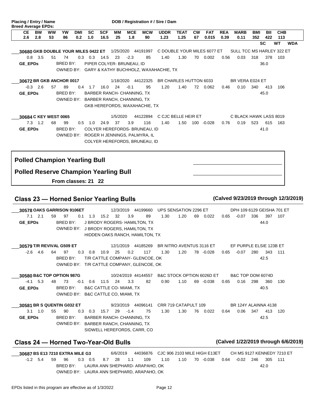| <b>MCE</b><br>CЕ<br><b>BW</b><br>ww<br>YW<br><b>SC</b><br><b>SCF</b><br>MМ<br><b>MCW</b><br><b>UDDR</b><br><b>CW</b><br><b>FAT</b><br><b>REA</b><br><b>MARB</b><br><b>CHB</b><br>DMI<br><b>TEAT</b><br>BMI<br>BII<br>2.6<br>53<br>0.2<br>1.0<br>16.5<br>25<br>1.23<br>1.25<br>67<br>0.015<br>352<br>422<br>113<br>2.8<br>86<br>1.8<br>90<br>0.39<br>0.11<br>SC<br>WT.<br>C DOUBLE YOUR MILES 6077 ET<br>SULL TCC MS HARLEY 322 ET<br>30680 GKB DOUBLE YOUR MILES 0422 ET 1/25/2020 44191997<br>$0.8$ 3.5<br>23<br>$-2.3$<br>1.40<br>1.30<br>51<br>74<br>$0.3 \quad 0.3$<br>14.5<br>85<br>70<br>0.002<br>0.56<br>0.03<br>318<br>378<br>103<br>BRED BY:<br>PIPER COLYER- BRUNEAU, ID<br>36.0<br>GE_EPDs<br>OWNED BY: GARY & KATHY BUCHHOLZ, WAXAHACHIE, TX<br>30672 BR GKB ANCHOR 0017<br>1/18/2020 44122325<br>BR CHARLES HUTTON 6033<br>BR VERA E024 ET<br>$-0.3$ 2.6<br>57<br>89<br>$0.4$ 1.7<br>24<br>$-0.1$<br>95<br>1.20<br>340<br>16.0<br>1.40<br>72 0.062<br>0.46<br>0.10<br>413<br>106<br>GE_EPDs<br>BRED BY:<br>BARBER RANCH- CHANNING, TX<br>45.0<br>OWNED BY: BARBER RANCH, CHANNING, TX<br>GKB HEREFORDS, WAXAHACHIE, TX<br>30684 C KEY WEST 0065<br>1/5/2020<br>44122894<br>C CJC BELLE HEIR ET<br>C BLACK HAWK LASS 8019<br>$7.3$ 1.2<br>68<br>99<br>37<br>3.9<br>1.40<br>1.50 100 -0.028<br>0.19<br>523<br>615<br>$0.5 \quad 1.0$<br>24.9<br>116<br>0.76<br>163<br>BRED BY:<br><b>GE_EPDs</b><br>COLYER HEREFORDS- BRUNEAU, ID<br>41.0<br>OWNED BY: ROGER H JENNINGS, PALMYRA, IL<br>COLYER HEREFORDS, BRUNEAU, ID<br><b>Polled Champion Yearling Bull</b><br><b>Polled Reserve Champion Yearling Bull</b><br>From classes: 21 22<br>(Calved 9/23/2019 through 12/3/2019)<br><b>Class 23 - Horned Senior Yearling Bulls</b><br>30578 OAKS GARRISON 9106ET<br>12/3/2019 44199660<br>UPS SENSATION 2296 ET<br>DPH 109 6129 GEISHA 701 ET<br>$7.1 \quad 2.1$<br>59<br>97<br>$0.1 \quad 1.3$<br>15.2<br>32<br>3.9<br>89<br>1.30<br>1.20<br>69<br>0.022<br>0.65<br>$-0.07$<br>336<br>397<br>107<br>GE_EPDs<br>BRED BY:<br>J BRODY ROGERS- HAMILTON, TX<br>44.0<br>OWNED BY: J BRODY ROGERS, HAMILTON, TX<br>HIDDEN OAKS RANCH, HAMILTON, TX<br>30579 T/R REVIVAL G509 ET<br>12/1/2019 44185269<br>BR NITRO AVENTUS 3116 ET<br>EF PURPLE ELSIE 123B ET<br>0.3 0.8 10.9 25 0.2 117<br>$-2.6$ 4.6 64 97<br>343 111<br>BRED BY:<br>T/R CATTLE COMPANY- GLENCOE, OK<br>42.5<br>OWNED BY: T/R CATTLE COMPANY, GLENCOE, OK<br>B&C STOCK OPTION 6026D ET<br>10/24/2019 44144557<br>B&C TOP DOM 6074D<br>30580 B&C TOP OPTION 987G<br>0.90<br>1.10<br>$-4.1$ 5.3<br>73<br>$-0.1$ 0.6 11.5 24<br>3.3<br>82<br>69 -0.038<br>0.16<br>298<br>360<br>48<br>0.65<br>130<br>BRED BY:<br>40.5<br><b>GE EPDs</b><br>B&C CATTLE CO- MIAMI, TX<br>OWNED BY: B&C CATTLE CO, MIAMI, TX<br>9/23/2019 44096141<br>CRR 719 CATAPULT 109<br>BR 124Y ALAINNA 4138<br>30581 BR S QUENTIN G032 ET<br>0.3 0.3 15.7 29 -1.4 | Placing / Entry / Name<br><b>Breed Average EPDs:</b> |    |    |  |  |    | DOB / Registration # / Sire / Dam |      |           |      |      |     |     |       |            |
|-------------------------------------------------------------------------------------------------------------------------------------------------------------------------------------------------------------------------------------------------------------------------------------------------------------------------------------------------------------------------------------------------------------------------------------------------------------------------------------------------------------------------------------------------------------------------------------------------------------------------------------------------------------------------------------------------------------------------------------------------------------------------------------------------------------------------------------------------------------------------------------------------------------------------------------------------------------------------------------------------------------------------------------------------------------------------------------------------------------------------------------------------------------------------------------------------------------------------------------------------------------------------------------------------------------------------------------------------------------------------------------------------------------------------------------------------------------------------------------------------------------------------------------------------------------------------------------------------------------------------------------------------------------------------------------------------------------------------------------------------------------------------------------------------------------------------------------------------------------------------------------------------------------------------------------------------------------------------------------------------------------------------------------------------------------------------------------------------------------------------------------------------------------------------------------------------------------------------------------------------------------------------------------------------------------------------------------------------------------------------------------------------------------------------------------------------------------------------------------------------------------------------------------------------------------------------------------------------------------------------------------------------------------------------------------------------------------------------------------------------------------------------------------------------------------------------------------------------------------------------------------------------------|------------------------------------------------------|----|----|--|--|----|-----------------------------------|------|-----------|------|------|-----|-----|-------|------------|
|                                                                                                                                                                                                                                                                                                                                                                                                                                                                                                                                                                                                                                                                                                                                                                                                                                                                                                                                                                                                                                                                                                                                                                                                                                                                                                                                                                                                                                                                                                                                                                                                                                                                                                                                                                                                                                                                                                                                                                                                                                                                                                                                                                                                                                                                                                                                                                                                                                                                                                                                                                                                                                                                                                                                                                                                                                                                                                       |                                                      |    |    |  |  |    |                                   |      |           |      |      |     |     |       |            |
|                                                                                                                                                                                                                                                                                                                                                                                                                                                                                                                                                                                                                                                                                                                                                                                                                                                                                                                                                                                                                                                                                                                                                                                                                                                                                                                                                                                                                                                                                                                                                                                                                                                                                                                                                                                                                                                                                                                                                                                                                                                                                                                                                                                                                                                                                                                                                                                                                                                                                                                                                                                                                                                                                                                                                                                                                                                                                                       |                                                      |    |    |  |  |    |                                   |      |           |      |      |     |     |       | <b>WDA</b> |
|                                                                                                                                                                                                                                                                                                                                                                                                                                                                                                                                                                                                                                                                                                                                                                                                                                                                                                                                                                                                                                                                                                                                                                                                                                                                                                                                                                                                                                                                                                                                                                                                                                                                                                                                                                                                                                                                                                                                                                                                                                                                                                                                                                                                                                                                                                                                                                                                                                                                                                                                                                                                                                                                                                                                                                                                                                                                                                       |                                                      |    |    |  |  |    |                                   |      |           |      |      |     |     |       |            |
|                                                                                                                                                                                                                                                                                                                                                                                                                                                                                                                                                                                                                                                                                                                                                                                                                                                                                                                                                                                                                                                                                                                                                                                                                                                                                                                                                                                                                                                                                                                                                                                                                                                                                                                                                                                                                                                                                                                                                                                                                                                                                                                                                                                                                                                                                                                                                                                                                                                                                                                                                                                                                                                                                                                                                                                                                                                                                                       |                                                      |    |    |  |  |    |                                   |      |           |      |      |     |     |       |            |
|                                                                                                                                                                                                                                                                                                                                                                                                                                                                                                                                                                                                                                                                                                                                                                                                                                                                                                                                                                                                                                                                                                                                                                                                                                                                                                                                                                                                                                                                                                                                                                                                                                                                                                                                                                                                                                                                                                                                                                                                                                                                                                                                                                                                                                                                                                                                                                                                                                                                                                                                                                                                                                                                                                                                                                                                                                                                                                       |                                                      |    |    |  |  |    |                                   |      |           |      |      |     |     |       |            |
|                                                                                                                                                                                                                                                                                                                                                                                                                                                                                                                                                                                                                                                                                                                                                                                                                                                                                                                                                                                                                                                                                                                                                                                                                                                                                                                                                                                                                                                                                                                                                                                                                                                                                                                                                                                                                                                                                                                                                                                                                                                                                                                                                                                                                                                                                                                                                                                                                                                                                                                                                                                                                                                                                                                                                                                                                                                                                                       |                                                      |    |    |  |  |    |                                   |      |           |      |      |     |     |       |            |
|                                                                                                                                                                                                                                                                                                                                                                                                                                                                                                                                                                                                                                                                                                                                                                                                                                                                                                                                                                                                                                                                                                                                                                                                                                                                                                                                                                                                                                                                                                                                                                                                                                                                                                                                                                                                                                                                                                                                                                                                                                                                                                                                                                                                                                                                                                                                                                                                                                                                                                                                                                                                                                                                                                                                                                                                                                                                                                       |                                                      |    |    |  |  |    |                                   |      |           |      |      |     |     |       |            |
|                                                                                                                                                                                                                                                                                                                                                                                                                                                                                                                                                                                                                                                                                                                                                                                                                                                                                                                                                                                                                                                                                                                                                                                                                                                                                                                                                                                                                                                                                                                                                                                                                                                                                                                                                                                                                                                                                                                                                                                                                                                                                                                                                                                                                                                                                                                                                                                                                                                                                                                                                                                                                                                                                                                                                                                                                                                                                                       |                                                      |    |    |  |  |    |                                   |      |           |      |      |     |     |       |            |
|                                                                                                                                                                                                                                                                                                                                                                                                                                                                                                                                                                                                                                                                                                                                                                                                                                                                                                                                                                                                                                                                                                                                                                                                                                                                                                                                                                                                                                                                                                                                                                                                                                                                                                                                                                                                                                                                                                                                                                                                                                                                                                                                                                                                                                                                                                                                                                                                                                                                                                                                                                                                                                                                                                                                                                                                                                                                                                       |                                                      |    |    |  |  |    |                                   |      |           |      |      |     |     |       |            |
|                                                                                                                                                                                                                                                                                                                                                                                                                                                                                                                                                                                                                                                                                                                                                                                                                                                                                                                                                                                                                                                                                                                                                                                                                                                                                                                                                                                                                                                                                                                                                                                                                                                                                                                                                                                                                                                                                                                                                                                                                                                                                                                                                                                                                                                                                                                                                                                                                                                                                                                                                                                                                                                                                                                                                                                                                                                                                                       |                                                      |    |    |  |  |    |                                   |      |           |      |      |     |     |       |            |
|                                                                                                                                                                                                                                                                                                                                                                                                                                                                                                                                                                                                                                                                                                                                                                                                                                                                                                                                                                                                                                                                                                                                                                                                                                                                                                                                                                                                                                                                                                                                                                                                                                                                                                                                                                                                                                                                                                                                                                                                                                                                                                                                                                                                                                                                                                                                                                                                                                                                                                                                                                                                                                                                                                                                                                                                                                                                                                       |                                                      |    |    |  |  |    |                                   |      |           |      |      |     |     |       |            |
|                                                                                                                                                                                                                                                                                                                                                                                                                                                                                                                                                                                                                                                                                                                                                                                                                                                                                                                                                                                                                                                                                                                                                                                                                                                                                                                                                                                                                                                                                                                                                                                                                                                                                                                                                                                                                                                                                                                                                                                                                                                                                                                                                                                                                                                                                                                                                                                                                                                                                                                                                                                                                                                                                                                                                                                                                                                                                                       |                                                      |    |    |  |  |    |                                   |      |           |      |      |     |     |       |            |
|                                                                                                                                                                                                                                                                                                                                                                                                                                                                                                                                                                                                                                                                                                                                                                                                                                                                                                                                                                                                                                                                                                                                                                                                                                                                                                                                                                                                                                                                                                                                                                                                                                                                                                                                                                                                                                                                                                                                                                                                                                                                                                                                                                                                                                                                                                                                                                                                                                                                                                                                                                                                                                                                                                                                                                                                                                                                                                       |                                                      |    |    |  |  |    |                                   |      |           |      |      |     |     |       |            |
|                                                                                                                                                                                                                                                                                                                                                                                                                                                                                                                                                                                                                                                                                                                                                                                                                                                                                                                                                                                                                                                                                                                                                                                                                                                                                                                                                                                                                                                                                                                                                                                                                                                                                                                                                                                                                                                                                                                                                                                                                                                                                                                                                                                                                                                                                                                                                                                                                                                                                                                                                                                                                                                                                                                                                                                                                                                                                                       |                                                      |    |    |  |  |    |                                   |      |           |      |      |     |     |       |            |
|                                                                                                                                                                                                                                                                                                                                                                                                                                                                                                                                                                                                                                                                                                                                                                                                                                                                                                                                                                                                                                                                                                                                                                                                                                                                                                                                                                                                                                                                                                                                                                                                                                                                                                                                                                                                                                                                                                                                                                                                                                                                                                                                                                                                                                                                                                                                                                                                                                                                                                                                                                                                                                                                                                                                                                                                                                                                                                       |                                                      |    |    |  |  |    |                                   |      |           |      |      |     |     |       |            |
|                                                                                                                                                                                                                                                                                                                                                                                                                                                                                                                                                                                                                                                                                                                                                                                                                                                                                                                                                                                                                                                                                                                                                                                                                                                                                                                                                                                                                                                                                                                                                                                                                                                                                                                                                                                                                                                                                                                                                                                                                                                                                                                                                                                                                                                                                                                                                                                                                                                                                                                                                                                                                                                                                                                                                                                                                                                                                                       |                                                      |    |    |  |  |    |                                   |      |           |      |      |     |     |       |            |
|                                                                                                                                                                                                                                                                                                                                                                                                                                                                                                                                                                                                                                                                                                                                                                                                                                                                                                                                                                                                                                                                                                                                                                                                                                                                                                                                                                                                                                                                                                                                                                                                                                                                                                                                                                                                                                                                                                                                                                                                                                                                                                                                                                                                                                                                                                                                                                                                                                                                                                                                                                                                                                                                                                                                                                                                                                                                                                       |                                                      |    |    |  |  |    |                                   |      |           |      |      |     |     |       |            |
|                                                                                                                                                                                                                                                                                                                                                                                                                                                                                                                                                                                                                                                                                                                                                                                                                                                                                                                                                                                                                                                                                                                                                                                                                                                                                                                                                                                                                                                                                                                                                                                                                                                                                                                                                                                                                                                                                                                                                                                                                                                                                                                                                                                                                                                                                                                                                                                                                                                                                                                                                                                                                                                                                                                                                                                                                                                                                                       |                                                      |    |    |  |  |    |                                   |      |           |      |      |     |     |       |            |
|                                                                                                                                                                                                                                                                                                                                                                                                                                                                                                                                                                                                                                                                                                                                                                                                                                                                                                                                                                                                                                                                                                                                                                                                                                                                                                                                                                                                                                                                                                                                                                                                                                                                                                                                                                                                                                                                                                                                                                                                                                                                                                                                                                                                                                                                                                                                                                                                                                                                                                                                                                                                                                                                                                                                                                                                                                                                                                       |                                                      |    |    |  |  |    |                                   |      |           |      |      |     |     |       |            |
|                                                                                                                                                                                                                                                                                                                                                                                                                                                                                                                                                                                                                                                                                                                                                                                                                                                                                                                                                                                                                                                                                                                                                                                                                                                                                                                                                                                                                                                                                                                                                                                                                                                                                                                                                                                                                                                                                                                                                                                                                                                                                                                                                                                                                                                                                                                                                                                                                                                                                                                                                                                                                                                                                                                                                                                                                                                                                                       |                                                      |    |    |  |  |    |                                   |      |           |      |      |     |     |       |            |
|                                                                                                                                                                                                                                                                                                                                                                                                                                                                                                                                                                                                                                                                                                                                                                                                                                                                                                                                                                                                                                                                                                                                                                                                                                                                                                                                                                                                                                                                                                                                                                                                                                                                                                                                                                                                                                                                                                                                                                                                                                                                                                                                                                                                                                                                                                                                                                                                                                                                                                                                                                                                                                                                                                                                                                                                                                                                                                       |                                                      |    |    |  |  |    |                                   |      |           |      |      |     |     |       |            |
|                                                                                                                                                                                                                                                                                                                                                                                                                                                                                                                                                                                                                                                                                                                                                                                                                                                                                                                                                                                                                                                                                                                                                                                                                                                                                                                                                                                                                                                                                                                                                                                                                                                                                                                                                                                                                                                                                                                                                                                                                                                                                                                                                                                                                                                                                                                                                                                                                                                                                                                                                                                                                                                                                                                                                                                                                                                                                                       |                                                      |    |    |  |  |    |                                   |      |           |      |      |     |     |       |            |
|                                                                                                                                                                                                                                                                                                                                                                                                                                                                                                                                                                                                                                                                                                                                                                                                                                                                                                                                                                                                                                                                                                                                                                                                                                                                                                                                                                                                                                                                                                                                                                                                                                                                                                                                                                                                                                                                                                                                                                                                                                                                                                                                                                                                                                                                                                                                                                                                                                                                                                                                                                                                                                                                                                                                                                                                                                                                                                       |                                                      |    |    |  |  |    |                                   |      |           |      |      |     |     |       |            |
|                                                                                                                                                                                                                                                                                                                                                                                                                                                                                                                                                                                                                                                                                                                                                                                                                                                                                                                                                                                                                                                                                                                                                                                                                                                                                                                                                                                                                                                                                                                                                                                                                                                                                                                                                                                                                                                                                                                                                                                                                                                                                                                                                                                                                                                                                                                                                                                                                                                                                                                                                                                                                                                                                                                                                                                                                                                                                                       |                                                      |    |    |  |  |    |                                   |      |           |      |      |     |     |       |            |
|                                                                                                                                                                                                                                                                                                                                                                                                                                                                                                                                                                                                                                                                                                                                                                                                                                                                                                                                                                                                                                                                                                                                                                                                                                                                                                                                                                                                                                                                                                                                                                                                                                                                                                                                                                                                                                                                                                                                                                                                                                                                                                                                                                                                                                                                                                                                                                                                                                                                                                                                                                                                                                                                                                                                                                                                                                                                                                       | $3.1 \quad 1.0$                                      | 55 | 90 |  |  | 75 | 1.30                              | 1.30 | 76  0.022 | 0.64 | 0.06 | 347 | 413 | - 120 |            |
| BRED BY:<br><b>GE EPDs</b><br>BARBER RANCH- CHANNING, TX<br>42.5<br>OWNED BY: BARBER RANCH, CHANNING, TX<br>SIDWELL HEREFORDS, CARR, CO                                                                                                                                                                                                                                                                                                                                                                                                                                                                                                                                                                                                                                                                                                                                                                                                                                                                                                                                                                                                                                                                                                                                                                                                                                                                                                                                                                                                                                                                                                                                                                                                                                                                                                                                                                                                                                                                                                                                                                                                                                                                                                                                                                                                                                                                                                                                                                                                                                                                                                                                                                                                                                                                                                                                                               |                                                      |    |    |  |  |    |                                   |      |           |      |      |     |     |       |            |
| (Calved 1/22/2019 through 6/6/2019)<br>Class 24 - Horned Two-Year-Old Bulls                                                                                                                                                                                                                                                                                                                                                                                                                                                                                                                                                                                                                                                                                                                                                                                                                                                                                                                                                                                                                                                                                                                                                                                                                                                                                                                                                                                                                                                                                                                                                                                                                                                                                                                                                                                                                                                                                                                                                                                                                                                                                                                                                                                                                                                                                                                                                                                                                                                                                                                                                                                                                                                                                                                                                                                                                           |                                                      |    |    |  |  |    |                                   |      |           |      |      |     |     |       |            |

-0.038 246 0.64 -0.02 305 111 **30687 BS E13 7210 EXTRA MILE G3** 6/6/2019 44036876 CJC 906 2103 MILE HIGH E13ET \_\_\_ CH MS 9127 KENNEDY 7210 ET 5.4 59 96 28 -1.2 0.3 0.5 8.7 1.1 109 1.10 1.10 70 BRED BY: LAURA ANN SHEPHARD- ARAPAHO, OK 42.0 OWNED BY: LAURA ANN SHEPHARD, ARAPAHO, OK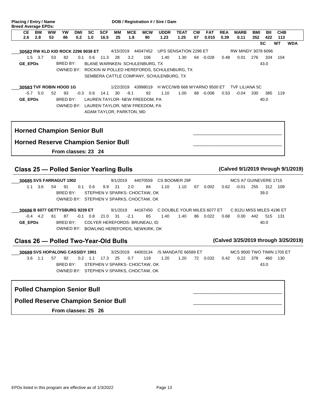| 2.6     | BW<br>2.8                          | <b>WW</b><br>53 | YW<br>86 | DMI<br>0.2 | <b>SC</b><br>1.0 | <b>SCF</b><br>16.5 | MМ<br>25        | <b>MCE</b><br>1.8 | <b>MCW</b><br>90               | <b>UDDR</b><br>1.23                                                                             | <b>TEAT</b><br>1.25 | <b>CW</b><br>67 | <b>FAT</b><br>0.015 | <b>REA</b><br>0.39 | <b>MARB</b><br>0.11              | BMI<br>352 | BII<br>422 | <b>CHB</b><br>113 |
|---------|------------------------------------|-----------------|----------|------------|------------------|--------------------|-----------------|-------------------|--------------------------------|-------------------------------------------------------------------------------------------------|---------------------|-----------------|---------------------|--------------------|----------------------------------|------------|------------|-------------------|
|         |                                    |                 |          |            |                  |                    |                 |                   |                                |                                                                                                 |                     |                 |                     |                    |                                  | <b>SC</b>  |            | WT<br><b>WDA</b>  |
|         | 30582 RW KLD KID ROCK 2296 9038 ET |                 |          |            |                  |                    | 4/15/2019       |                   | 44047452                       | UPS SENSATION 2296 ET                                                                           |                     |                 |                     |                    | RW MINDY 3078 6096               |            |            |                   |
| 1.5     | 3.7                                | 53              | 82       | 0.1        | 0.6              | 11.3               | 28              | 3.2               | 106                            | 1.40                                                                                            | 1.30                | 64              | -0.028              | 0.48               | 0.01                             | 276        | 334        | 104               |
| GE_EPDs |                                    |                 | BRED BY: |            |                  |                    |                 |                   | BLANE WARNKEN- SCHULENBURG, TX | OWNED BY: ROCKIN W POLLED HEREFORDS, SCHULENBURG, TX<br>SEMBERA CATTLE COMPANY, SCHULENBURG, TX |                     |                 |                     |                    |                                  |            | 43.0       |                   |
|         |                                    |                 |          |            |                  |                    |                 |                   |                                |                                                                                                 |                     |                 |                     |                    |                                  |            |            |                   |
| $-5.7$  | 30583 TVF ROBIN HOOD 1G<br>5.0     | 52              | 93       | $-0.3$     | 0.6              | 14.1               | 1/22/2019<br>30 | $-9.1$            | 43998019<br>92                 | H WCC/WB 668 WYARNO 9500 ET<br>1.10                                                             | 1.00                | 68              | $-0.008$            | 0.53               | <b>TVF LILIANA 5C</b><br>$-0.04$ | 330        | 385        | 119               |

## **Horned Reserve Champion Senior Bull**

**From classes: 23 24** 

## **Class 25 — Polled Senior Yearling Bulls (Calved 9/1/2019 through 9/1/2019)**

1.1 3.6 54 91 0.1 0.6 9.9 21 2.0 84 1.10 1.10 67 0.002 **30685 SVS FARRAGUT 1902** 9/1/2019 44070559 CS BOOMER 29F \_\_\_ 1.1 3.6 54 91 0.1 0.6 9.9 21 BRED BY: STEPHEN V SPARKS- CHOCTAW, OK 255 0.62 -0.01 312 109 39.0 MCS A7 GUINEVERE 1715 OWNED BY: STEPHEN V SPARKS, CHOCTAW, OK

1.40 86 0.022 **30686 B 6077 GETTYSBURG 9239 ET** 9/1/2019 44167450 C DOUBLE YOUR MILES 6077 ET 4.2 61 87 31 -0.4 -0.1 0.8 21.0 -2.1 65 1.40 1.40 86  $\overline{\phantom{a}}$ **GE\_EPDs** BRED BY: COLYER HEREFORDS- BRUNEAU, ID 442 0.68 0.00 515 131 40.0 C 812U MISS MILES 4196 ET OWNED BY: BOWLING HEREFORDS, NEWKIRK, OK

## **Class 26 — Polled Two-Year-Old Bulls (Calved 3/25/2019 through 3/25/2019)**

0.032 378 0.42 0.22 460 130 **30689 SVS HOPALONG CASSIDY 1901** 3/25/2019 44003134 /S MANDATE 66589 ET 1.1 57 92 25 3.6 0.2 1.1 17.3 0.7 119 1.20 1.20 72  $\overline{\phantom{a}}$ BRED BY: STEPHEN V SPARKS- CHOCTAW, OK 43.0 MCS 9500 TWO TIMIN 1705 ET OWNED BY: STEPHEN V SPARKS, CHOCTAW, OK

## **Polled Champion Senior Bull**

٦

#### **Polled Reserve Champion Senior Bull**

**From classes: 25 26** 

\_\_\_\_\_\_\_\_\_\_\_\_\_\_\_\_\_\_\_\_\_\_\_\_\_\_\_\_\_\_\_\_\_\_

\_\_\_\_\_\_\_\_\_\_\_\_\_\_\_\_\_\_\_\_\_\_\_\_\_\_\_\_\_\_\_\_\_\_

\_\_\_\_\_\_\_\_\_\_\_\_\_\_\_\_\_\_\_\_\_\_\_\_\_\_\_\_\_\_\_\_\_\_